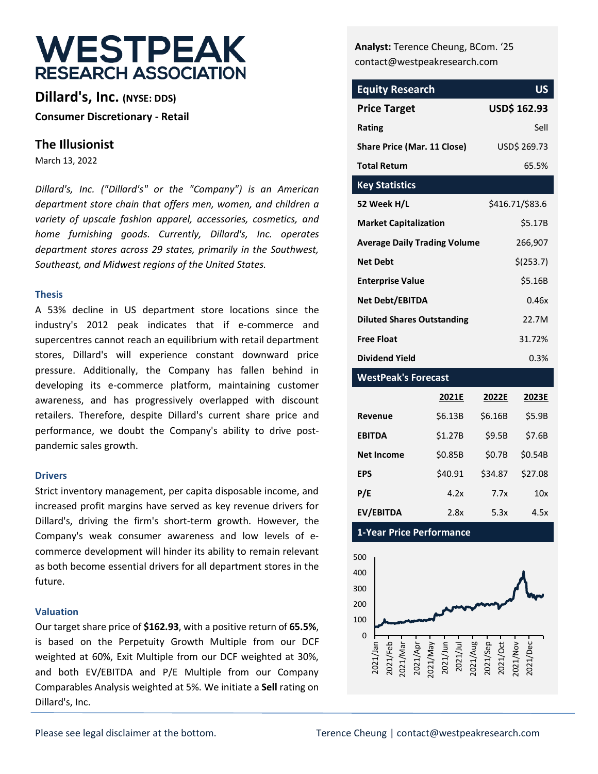# **WESTPEAK RESEARCH ASSOCIATION**

**Dillard's, Inc. (NYSE: DDS) Consumer Discretionary - Retail**

### **The Illusionist**

March 13, 2022

*Dillard's, Inc. ("Dillard's" or the "Company") is an American department store chain that offers men, women, and children a variety of upscale fashion apparel, accessories, cosmetics, and home furnishing goods. Currently, Dillard's, Inc. operates department stores across 29 states, primarily in the Southwest, Southeast, and Midwest regions of the United States.* 

#### **Thesis**

A 53% decline in US department store locations since the industry's 2012 peak indicates that if e-commerce and supercentres cannot reach an equilibrium with retail department stores, Dillard's will experience constant downward price pressure. Additionally, the Company has fallen behind in developing its e-commerce platform, maintaining customer awareness, and has progressively overlapped with discount retailers. Therefore, despite Dillard's current share price and performance, we doubt the Company's ability to drive postpandemic sales growth.

#### **Drivers**

Strict inventory management, per capita disposable income, and increased profit margins have served as key revenue drivers for Dillard's, driving the firm's short-term growth. However, the Company's weak consumer awareness and low levels of ecommerce development will hinder its ability to remain relevant as both become essential drivers for all department stores in the future.

#### **Valuation**

Our target share price of **\$162.93**, with a positive return of **65.5%**, is based on the Perpetuity Growth Multiple from our DCF weighted at 60%, Exit Multiple from our DCF weighted at 30%, and both EV/EBITDA and P/E Multiple from our Company Comparables Analysis weighted at 5%. We initiate a **Sell** rating on Dillard's, Inc.

**Analyst:** Terence Cheung, BCom. '25 contact@westpeakresearch.com

| <b>Equity Research</b>              | US                  |
|-------------------------------------|---------------------|
| <b>Price Target</b>                 | <b>USD\$ 162.93</b> |
| Rating                              | Sell                |
| <b>Share Price (Mar. 11 Close)</b>  | USD\$ 269.73        |
| <b>Total Return</b>                 | 65.5%               |
| <b>Key Statistics</b>               |                     |
| 52 Week H/L                         | \$416.71/\$83.6     |
| <b>Market Capitalization</b>        | \$5.17B             |
| <b>Average Daily Trading Volume</b> | 266,907             |
| <b>Net Debt</b>                     | \$(253.7)           |
| <b>Enterprise Value</b>             | \$5.16B             |
| <b>Net Debt/EBITDA</b>              | 0.46x               |
| <b>Diluted Shares Outstanding</b>   | 22.7M               |
| <b>Free Float</b>                   | 31.72%              |
| <b>Dividend Yield</b>               | 0.3%                |

#### **WestPeak's Forecast**

|                   | 2021E   | 2022E   | 2023E   |
|-------------------|---------|---------|---------|
| Revenue           | \$6.13B | \$6.16B | \$5.9B  |
| <b>EBITDA</b>     | \$1.27B | \$9.5B  | \$7.6B  |
| <b>Net Income</b> | \$0.85B | \$0.7B  | \$0.54B |
| <b>EPS</b>        | \$40.91 | \$34.87 | \$27.08 |
| P/E               | 4.2x    | 7.7x    | 10x     |
| EV/EBITDA         | 2.8x    | 5.3x    | 4.5x    |

**1-Year Price Performance**

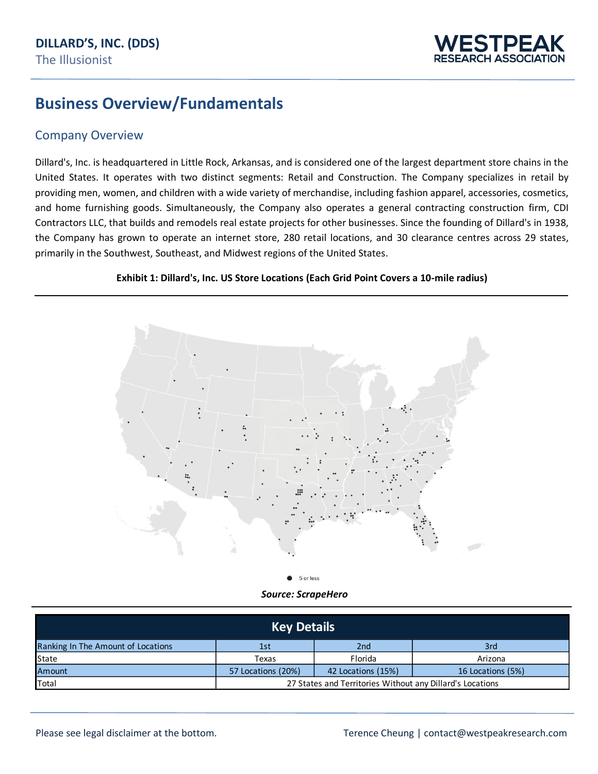

## **Business Overview/Fundamentals**

#### Company Overview

Dillard's, Inc. is headquartered in Little Rock, Arkansas, and is considered one of the largest department store chains in the United States. It operates with two distinct segments: Retail and Construction. The Company specializes in retail by providing men, women, and children with a wide variety of merchandise, including fashion apparel, accessories, cosmetics, and home furnishing goods. Simultaneously, the Company also operates a general contracting construction firm, CDI Contractors LLC, that builds and remodels real estate projects for other businesses. Since the founding of Dillard's in 1938, the Company has grown to operate an internet store, 280 retail locations, and 30 clearance centres across 29 states, primarily in the Southwest, Southeast, and Midwest regions of the United States.





*Source: ScrapeHero*

|                                    | <b>Key Details</b> |                                                           |                   |
|------------------------------------|--------------------|-----------------------------------------------------------|-------------------|
| Ranking In The Amount of Locations | 1st                | 2 <sub>nd</sub>                                           | 3rd               |
| State                              | Texas              | Florida                                                   | Arizona           |
| Amount                             | 57 Locations (20%) | 42 Locations (15%)                                        | 16 Locations (5%) |
| Total                              |                    | 27 States and Territories Without any Dillard's Locations |                   |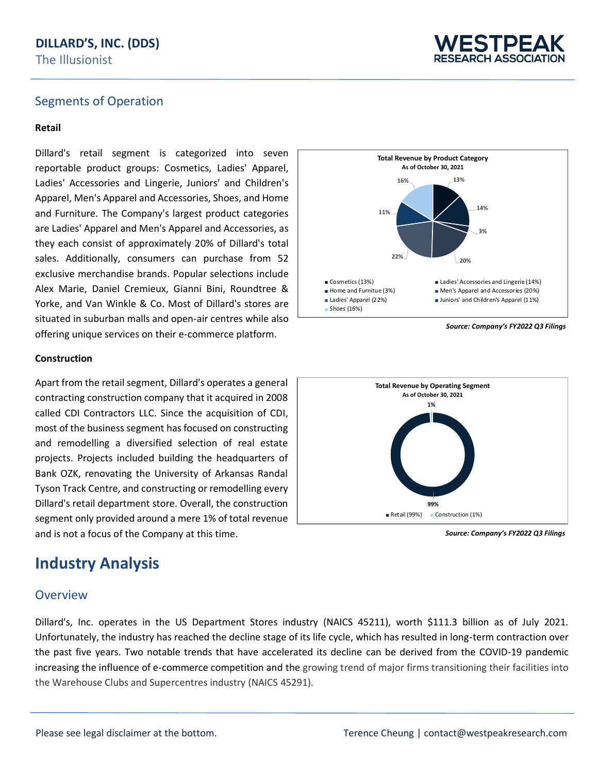

#### Segments of Operation

#### **Retail**

Dillard's retail segment is categorized into seven reportable product groups: Cosmetics, Ladies' Apparel, Ladies' Accessories and Lingerie, Juniors' and Children's Apparel, Men's Apparel and Accessories, Shoes, and Home and Furniture. The Company's largest product categories are Ladies' Apparel and Men's Apparel and Accessories, as they each consist of approximately 20% of Dillard's total sales. Additionally, consumers can purchase from 52 exclusive merchandise brands. Popular selections include Alex Marie, Daniel Cremieux, Gianni Bini, Roundtree & Yorke, and Van Winkle & Co. Most of Dillard's stores are situated in suburban malls and open-air centres while also offering unique services on their e-commerce platform.

#### **Construction**

Apart from the retail segment, Dillard's operates a general contracting construction company that it acquired in 2008 called CDI Contractors LLC. Since the acquisition of CDI, most of the business segment has focused on constructing and remodelling a diversified selection of real estate projects. Projects included building the headquarters of Bank OZK, renovating the University of Arkansas Randal Tyson Track Centre, and constructing or remodelling every Dillard's retail department store. Overall, the construction segment only provided around a mere 1% of total revenue and is not a focus of the Company at this time.

### **Industry Analysis**

#### Overview

Dillard's, Inc. operates in the US Department Stores industry (NAICS 45211), worth \$111.3 billion as of July 2021. Unfortunately, the industry has reached the decline stage of its life cycle, which has resulted in long-term contraction over the past five years. Two notable trends that have accelerated its decline can be derived from the COVID-19 pandemic increasing the influence of e-commerce competition and the growing trend of major firms transitioning their facilities into the Warehouse Clubs and Supercentres industry (NAICS 45291).



**99% 1% Total Revenue by Operating Segment As of October 30, 2021** Retail (99%) Construction (1%)

*Source: Company's FY2022 Q3 Filings*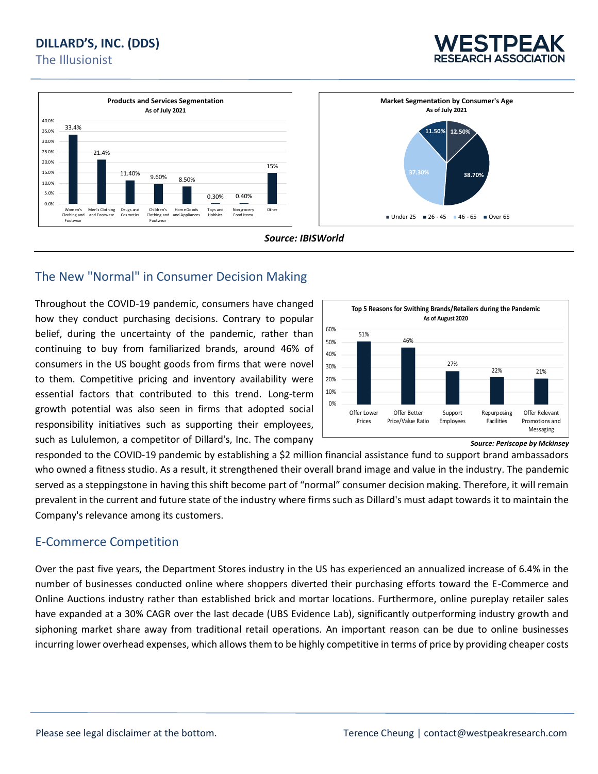







### The New "Normal" in Consumer Decision Making

Throughout the COVID-19 pandemic, consumers have changed how they conduct purchasing decisions. Contrary to popular belief, during the uncertainty of the pandemic, rather than continuing to buy from familiarized brands, around 46% of consumers in the US bought goods from firms that were novel to them. Competitive pricing and inventory availability were essential factors that contributed to this trend. Long-term growth potential was also seen in firms that adopted social responsibility initiatives such as supporting their employees, such as Lululemon, a competitor of Dillard's, Inc. The company



*Source: Periscope by Mckinsey*

responded to the COVID-19 pandemic by establishing a \$2 million financial assistance fund to support brand ambassadors who owned a fitness studio. As a result, it strengthened their overall brand image and value in the industry. The pandemic served as a steppingstone in having this shift become part of "normal" consumer decision making. Therefore, it will remain prevalent in the current and future state of the industry where firms such as Dillard's must adapt towards it to maintain the Company's relevance among its customers.

#### E-Commerce Competition

Over the past five years, the Department Stores industry in the US has experienced an annualized increase of 6.4% in the number of businesses conducted online where shoppers diverted their purchasing efforts toward the E-Commerce and Online Auctions industry rather than established brick and mortar locations. Furthermore, online pureplay retailer sales have expanded at a 30% CAGR over the last decade (UBS Evidence Lab), significantly outperforming industry growth and siphoning market share away from traditional retail operations. An important reason can be due to online businesses incurring lower overhead expenses, which allows them to be highly competitive in terms of price by providing cheaper costs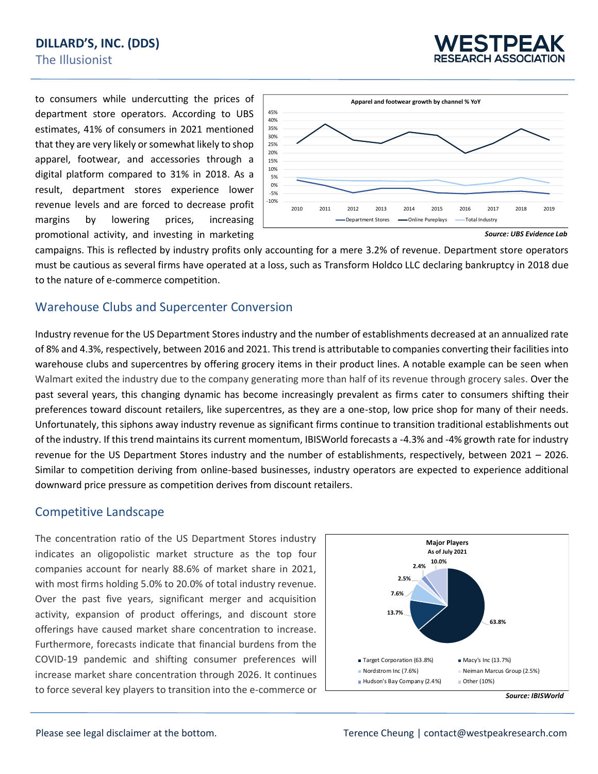

to consumers while undercutting the prices of department store operators. According to UBS estimates, 41% of consumers in 2021 mentioned that they are very likely or somewhat likely to shop apparel, footwear, and accessories through a digital platform compared to 31% in 2018. As a result, department stores experience lower revenue levels and are forced to decrease profit margins by lowering prices, increasing promotional activity, and investing in marketing



campaigns. This is reflected by industry profits only accounting for a mere 3.2% of revenue. Department store operators must be cautious as several firms have operated at a loss, such as Transform Holdco LLC declaring bankruptcy in 2018 due to the nature of e-commerce competition.

#### Warehouse Clubs and Supercenter Conversion

Industry revenue for the US Department Stores industry and the number of establishments decreased at an annualized rate of 8% and 4.3%, respectively, between 2016 and 2021. This trend is attributable to companies converting their facilities into warehouse clubs and supercentres by offering grocery items in their product lines. A notable example can be seen when Walmart exited the industry due to the company generating more than half of its revenue through grocery sales. Over the past several years, this changing dynamic has become increasingly prevalent as firms cater to consumers shifting their preferences toward discount retailers, like supercentres, as they are a one-stop, low price shop for many of their needs. Unfortunately, this siphons away industry revenue as significant firms continue to transition traditional establishments out of the industry. If this trend maintains its current momentum, IBISWorld forecasts a -4.3% and -4% growth rate for industry revenue for the US Department Stores industry and the number of establishments, respectively, between 2021 – 2026. Similar to competition deriving from online-based businesses, industry operators are expected to experience additional downward price pressure as competition derives from discount retailers.

### Competitive Landscape

The concentration ratio of the US Department Stores industry indicates an oligopolistic market structure as the top four companies account for nearly 88.6% of market share in 2021, with most firms holding 5.0% to 20.0% of total industry revenue. Over the past five years, significant merger and acquisition activity, expansion of product offerings, and discount store offerings have caused market share concentration to increase. Furthermore, forecasts indicate that financial burdens from the COVID-19 pandemic and shifting consumer preferences will increase market share concentration through 2026. It continues to force several key players to transition into the e-commerce or



*Source: IBISWorld*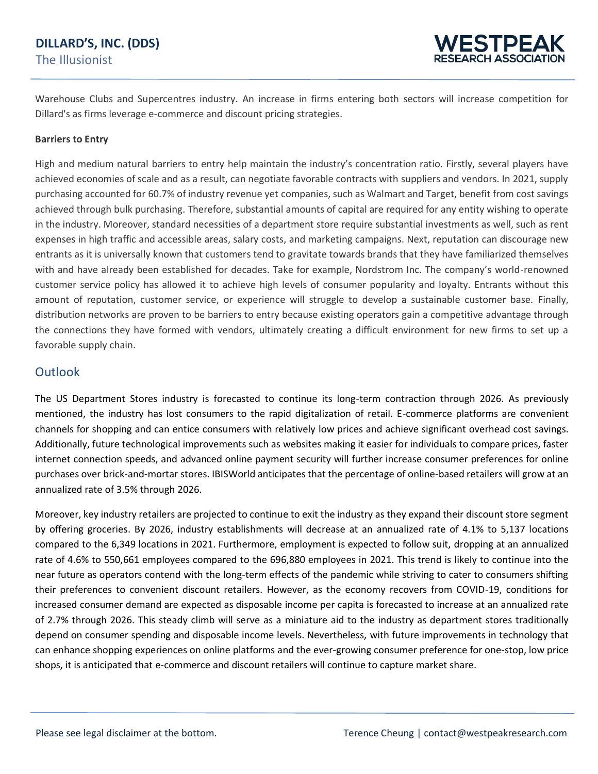### **DILLARD'S, INC. (DDS)** The Illusionist

Warehouse Clubs and Supercentres industry. An increase in firms entering both sectors will increase competition for Dillard's as firms leverage e-commerce and discount pricing strategies.

#### **Barriers to Entry**

High and medium natural barriers to entry help maintain the industry's concentration ratio. Firstly, several players have achieved economies of scale and as a result, can negotiate favorable contracts with suppliers and vendors. In 2021, supply purchasing accounted for 60.7% of industry revenue yet companies, such as Walmart and Target, benefit from cost savings achieved through bulk purchasing. Therefore, substantial amounts of capital are required for any entity wishing to operate in the industry. Moreover, standard necessities of a department store require substantial investments as well, such as rent expenses in high traffic and accessible areas, salary costs, and marketing campaigns. Next, reputation can discourage new entrants as it is universally known that customers tend to gravitate towards brands that they have familiarized themselves with and have already been established for decades. Take for example, Nordstrom Inc. The company's world-renowned customer service policy has allowed it to achieve high levels of consumer popularity and loyalty. Entrants without this amount of reputation, customer service, or experience will struggle to develop a sustainable customer base. Finally, distribution networks are proven to be barriers to entry because existing operators gain a competitive advantage through the connections they have formed with vendors, ultimately creating a difficult environment for new firms to set up a favorable supply chain.

#### **Outlook**

The US Department Stores industry is forecasted to continue its long-term contraction through 2026. As previously mentioned, the industry has lost consumers to the rapid digitalization of retail. E-commerce platforms are convenient channels for shopping and can entice consumers with relatively low prices and achieve significant overhead cost savings. Additionally, future technological improvements such as websites making it easier for individuals to compare prices, faster internet connection speeds, and advanced online payment security will further increase consumer preferences for online purchases over brick-and-mortar stores. IBISWorld anticipates that the percentage of online-based retailers will grow at an annualized rate of 3.5% through 2026.

Moreover, key industry retailers are projected to continue to exit the industry as they expand their discount store segment by offering groceries. By 2026, industry establishments will decrease at an annualized rate of 4.1% to 5,137 locations compared to the 6,349 locations in 2021. Furthermore, employment is expected to follow suit, dropping at an annualized rate of 4.6% to 550,661 employees compared to the 696,880 employees in 2021. This trend is likely to continue into the near future as operators contend with the long-term effects of the pandemic while striving to cater to consumers shifting their preferences to convenient discount retailers. However, as the economy recovers from COVID-19, conditions for increased consumer demand are expected as disposable income per capita is forecasted to increase at an annualized rate of 2.7% through 2026. This steady climb will serve as a miniature aid to the industry as department stores traditionally depend on consumer spending and disposable income levels. Nevertheless, with future improvements in technology that can enhance shopping experiences on online platforms and the ever-growing consumer preference for one-stop, low price shops, it is anticipated that e-commerce and discount retailers will continue to capture market share.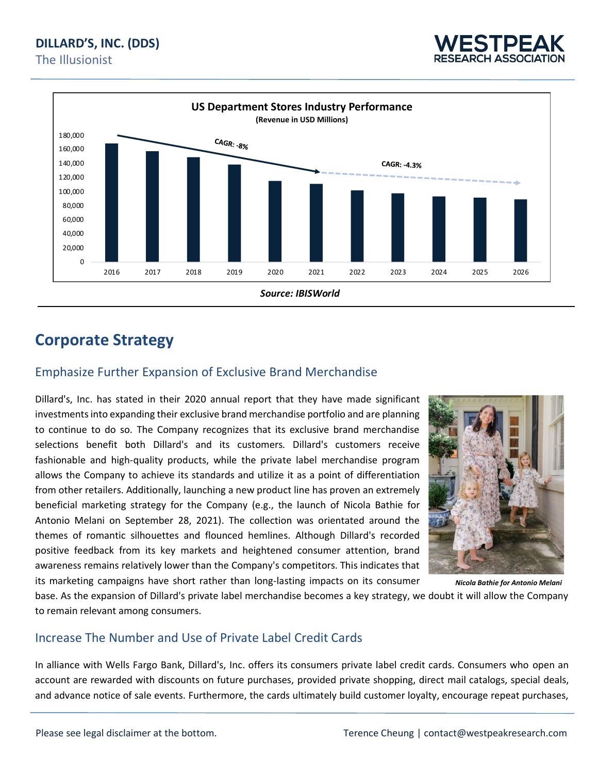



## **Corporate Strategy**

### Emphasize Further Expansion of Exclusive Brand Merchandise

Dillard's, Inc. has stated in their 2020 annual report that they have made significant investments into expanding their exclusive brand merchandise portfolio and are planning to continue to do so. The Company recognizes that its exclusive brand merchandise selections benefit both Dillard's and its customers. Dillard's customers receive fashionable and high-quality products, while the private label merchandise program allows the Company to achieve its standards and utilize it as a point of differentiation from other retailers. Additionally, launching a new product line has proven an extremely beneficial marketing strategy for the Company (e.g., the launch of Nicola Bathie for Antonio Melani on September 28, 2021). The collection was orientated around the themes of romantic silhouettes and flounced hemlines. Although Dillard's recorded positive feedback from its key markets and heightened consumer attention, brand awareness remains relatively lower than the Company's competitors. This indicates that its marketing campaigns have short rather than long-lasting impacts on its consumer



*Nicola Bathie for Antonio Melani*

base. As the expansion of Dillard's private label merchandise becomes a key strategy, we doubt it will allow the Company to remain relevant among consumers.

### Increase The Number and Use of Private Label Credit Cards

In alliance with Wells Fargo Bank, Dillard's, Inc. offers its consumers private label credit cards. Consumers who open an account are rewarded with discounts on future purchases, provided private shopping, direct mail catalogs, special deals, and advance notice of sale events. Furthermore, the cards ultimately build customer loyalty, encourage repeat purchases,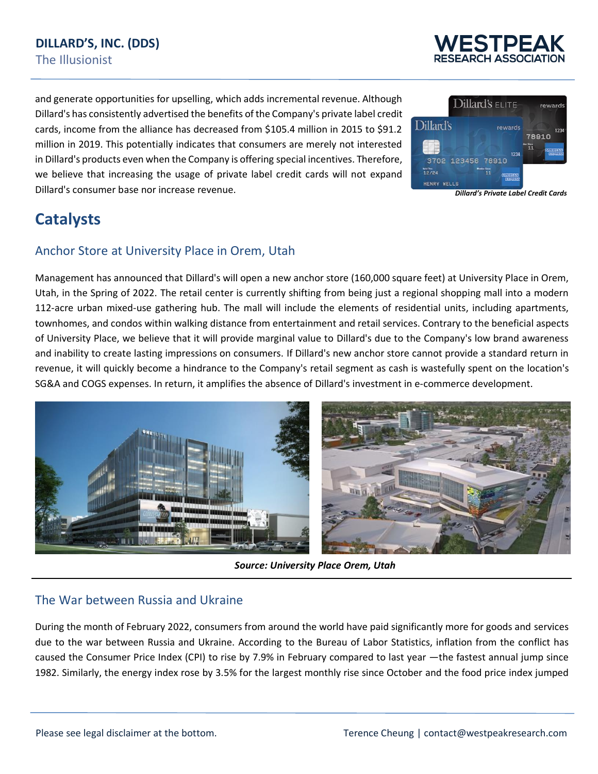

and generate opportunities for upselling, which adds incremental revenue. Although Dillard's has consistently advertised the benefits of the Company's private label credit cards, income from the alliance has decreased from \$105.4 million in 2015 to \$91.2 million in 2019. This potentially indicates that consumers are merely not interested in Dillard's products even when the Company is offering special incentives. Therefore, we believe that increasing the usage of private label credit cards will not expand Dillard's consumer base nor increase revenue.



## **Catalysts**

### Anchor Store at University Place in Orem, Utah

Management has announced that Dillard's will open a new anchor store (160,000 square feet) at University Place in Orem, Utah, in the Spring of 2022. The retail center is currently shifting from being just a regional shopping mall into a modern 112-acre urban mixed-use gathering hub. The mall will include the elements of residential units, including apartments, townhomes, and condos within walking distance from entertainment and retail services. Contrary to the beneficial aspects of University Place, we believe that it will provide marginal value to Dillard's due to the Company's low brand awareness and inability to create lasting impressions on consumers. If Dillard's new anchor store cannot provide a standard return in revenue, it will quickly become a hindrance to the Company's retail segment as cash is wastefully spent on the location's SG&A and COGS expenses. In return, it amplifies the absence of Dillard's investment in e-commerce development.



*Source: University Place Orem, Utah*

### The War between Russia and Ukraine

During the month of February 2022, consumers from around the world have paid significantly more for goods and services due to the war between Russia and Ukraine. According to the Bureau of Labor Statistics, inflation from the conflict has caused the Consumer Price Index (CPI) to rise by 7.9% in February compared to last year —the fastest annual jump since 1982. Similarly, the energy index rose by 3.5% for the largest monthly rise since October and the food price index jumped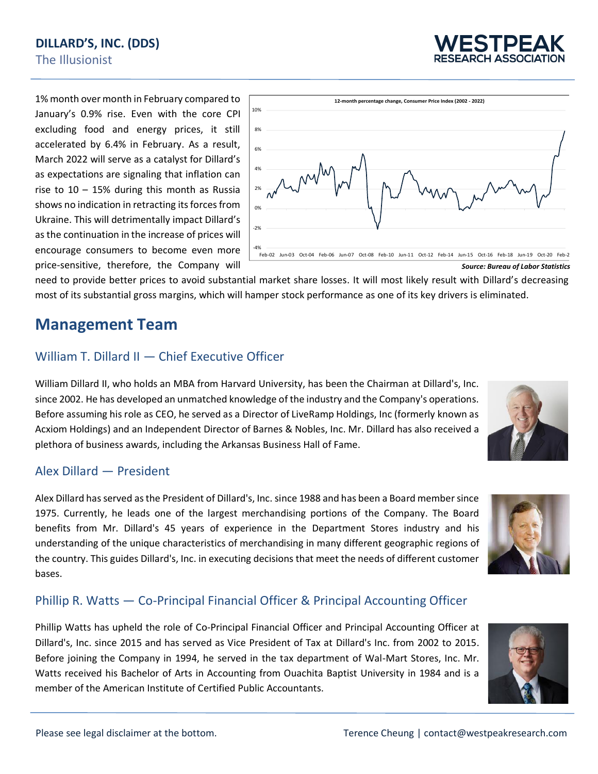

1% month over month in February compared to January's 0.9% rise. Even with the core CPI excluding food and energy prices, it still accelerated by 6.4% in February. As a result, March 2022 will serve as a catalyst for Dillard's as expectations are signaling that inflation can rise to  $10 - 15%$  during this month as Russia shows no indication in retracting its forces from Ukraine. This will detrimentally impact Dillard's as the continuation in the increase of prices will encourage consumers to become even more price-sensitive, therefore, the Company will



need to provide better prices to avoid substantial market share losses. It will most likely result with Dillard's decreasing most of its substantial gross margins, which will hamper stock performance as one of its key drivers is eliminated.

## **Management Team**

### William T. Dillard II — Chief Executive Officer

William Dillard II, who holds an MBA from Harvard University, has been the Chairman at Dillard's, Inc. since 2002. He has developed an unmatched knowledge of the industry and the Company's operations. Before assuming his role as CEO, he served as a Director of LiveRamp Holdings, Inc (formerly known as Acxiom Holdings) and an Independent Director of Barnes & Nobles, Inc. Mr. Dillard has also received a plethora of business awards, including the Arkansas Business Hall of Fame.

### Alex Dillard — President

Alex Dillard has served as the President of Dillard's, Inc. since 1988 and has been a Board member since 1975. Currently, he leads one of the largest merchandising portions of the Company. The Board benefits from Mr. Dillard's 45 years of experience in the Department Stores industry and his understanding of the unique characteristics of merchandising in many different geographic regions of the country. This guides Dillard's, Inc. in executing decisions that meet the needs of different customer bases.

### Phillip R. Watts — Co-Principal Financial Officer & Principal Accounting Officer

Phillip Watts has upheld the role of Co-Principal Financial Officer and Principal Accounting Officer at Dillard's, Inc. since 2015 and has served as Vice President of Tax at Dillard's Inc. from 2002 to 2015. Before joining the Company in 1994, he served in the tax department of Wal-Mart Stores, Inc. Mr. Watts received his Bachelor of Arts in Accounting from Ouachita Baptist University in 1984 and is a member of the American Institute of Certified Public Accountants.



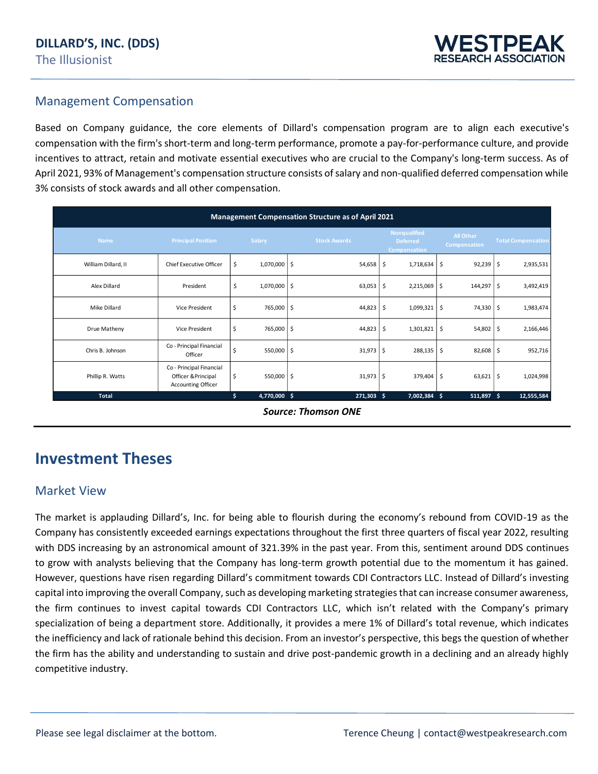### Management Compensation

Based on Company guidance, the core elements of Dillard's compensation program are to align each executive's compensation with the firm's short-term and long-term performance, promote a pay-for-performance culture, and provide incentives to attract, retain and motivate essential executives who are crucial to the Company's long-term success. As of April 2021, 93% of Management's compensation structure consists of salary and non-qualified deferred compensation while 3% consists of stock awards and all other compensation.

|                     |                                                                       |    |              | <b>Management Compensation Structure as of April 2021</b> |                                                        |                           |                           |
|---------------------|-----------------------------------------------------------------------|----|--------------|-----------------------------------------------------------|--------------------------------------------------------|---------------------------|---------------------------|
| <b>Name</b>         | <b>Principal Position</b>                                             |    | Salary       | <b>Stock Awards</b>                                       | <b>Nonqualified</b><br><b>Deferred</b><br>Compensation | All Other<br>Compensation | <b>Total Compensation</b> |
| William Dillard, II | Chief Executive Officer                                               | S. | 1,070,000 \$ | 54,658                                                    | \$<br>1,718,634 \$                                     | $92,239$ \$               | 2,935,531                 |
| Alex Dillard        | President                                                             | \$ | 1,070,000 \$ | 63,053                                                    | \$<br>2,215,069 \$                                     | 144,297 \$                | 3,492,419                 |
| Mike Dillard        | Vice President                                                        | -S | 765,000 \$   | $44,823$ \$                                               | 1,099,321 \$                                           | 74,330 \$                 | 1,983,474                 |
| Drue Matheny        | Vice President                                                        | S  | 765,000 \$   | $44,823$ \$                                               | 1,301,821 \$                                           | 54,802 \$                 | 2,166,446                 |
| Chris B. Johnson    | Co - Principal Financial<br>Officer                                   |    | 550,000 \$   | $31,973$ \$                                               | 288,135 \$                                             | 82,608 \$                 | 952,716                   |
| Phillip R. Watts    | Co - Principal Financial<br>Officer & Principal<br>Accounting Officer | S. | 550,000 \$   | $31,973$ \$                                               | 379,404 \$                                             | $63,621$ \$               | 1,024,998                 |
| <b>Total</b>        |                                                                       | \$ | 4,770,000 \$ | 271,303 \$                                                | 7,002,384 \$                                           | $511,897$ \$              | 12,555,584                |

*Source: Thomson ONE*

## **Investment Theses**

#### Market View

The market is applauding Dillard's, Inc. for being able to flourish during the economy's rebound from COVID-19 as the Company has consistently exceeded earnings expectations throughout the first three quarters of fiscal year 2022, resulting with DDS increasing by an astronomical amount of 321.39% in the past year. From this, sentiment around DDS continues to grow with analysts believing that the Company has long-term growth potential due to the momentum it has gained. However, questions have risen regarding Dillard's commitment towards CDI Contractors LLC. Instead of Dillard's investing capital into improving the overall Company, such as developing marketing strategies that can increase consumer awareness, the firm continues to invest capital towards CDI Contractors LLC, which isn't related with the Company's primary specialization of being a department store. Additionally, it provides a mere 1% of Dillard's total revenue, which indicates the inefficiency and lack of rationale behind this decision. From an investor's perspective, this begs the question of whether the firm has the ability and understanding to sustain and drive post-pandemic growth in a declining and an already highly competitive industry.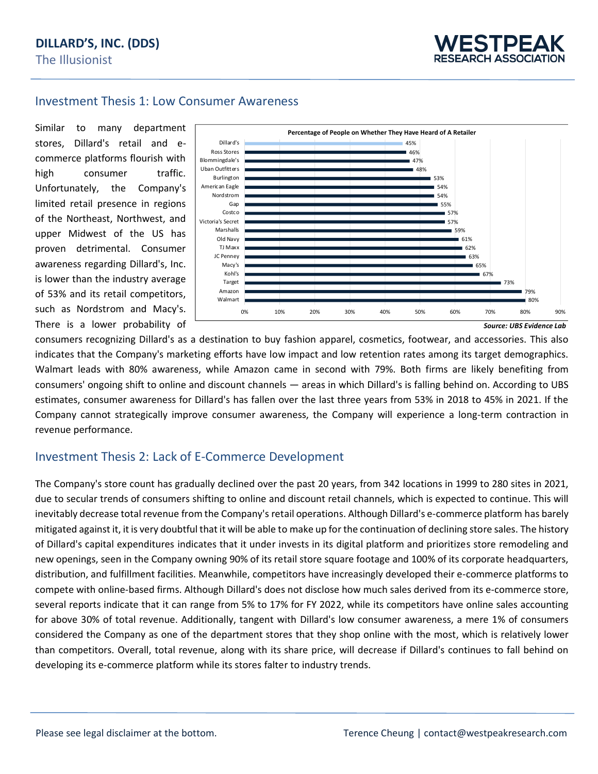#### Investment Thesis 1: Low Consumer Awareness

Similar to many department stores, Dillard's retail and ecommerce platforms flourish with high consumer traffic. Unfortunately, the Company's limited retail presence in regions of the Northeast, Northwest, and upper Midwest of the US has proven detrimental. Consumer awareness regarding Dillard's, Inc. is lower than the industry average of 53% and its retail competitors, such as Nordstrom and Macy's. There is a lower probability of



consumers recognizing Dillard's as a destination to buy fashion apparel, cosmetics, footwear, and accessories. This also indicates that the Company's marketing efforts have low impact and low retention rates among its target demographics. Walmart leads with 80% awareness, while Amazon came in second with 79%. Both firms are likely benefiting from consumers' ongoing shift to online and discount channels — areas in which Dillard's is falling behind on. According to UBS estimates, consumer awareness for Dillard's has fallen over the last three years from 53% in 2018 to 45% in 2021. If the Company cannot strategically improve consumer awareness, the Company will experience a long-term contraction in revenue performance.

### Investment Thesis 2: Lack of E-Commerce Development

The Company's store count has gradually declined over the past 20 years, from 342 locations in 1999 to 280 sites in 2021, due to secular trends of consumers shifting to online and discount retail channels, which is expected to continue. This will inevitably decrease total revenue from the Company's retail operations. Although Dillard's e-commerce platform has barely mitigated against it, it is very doubtful that it will be able to make up for the continuation of declining store sales. The history of Dillard's capital expenditures indicates that it under invests in its digital platform and prioritizes store remodeling and new openings, seen in the Company owning 90% of its retail store square footage and 100% of its corporate headquarters, distribution, and fulfillment facilities. Meanwhile, competitors have increasingly developed their e-commerce platforms to compete with online-based firms. Although Dillard's does not disclose how much sales derived from its e-commerce store, several reports indicate that it can range from 5% to 17% for FY 2022, while its competitors have online sales accounting for above 30% of total revenue. Additionally, tangent with Dillard's low consumer awareness, a mere 1% of consumers considered the Company as one of the department stores that they shop online with the most, which is relatively lower than competitors. Overall, total revenue, along with its share price, will decrease if Dillard's continues to fall behind on developing its e-commerce platform while its stores falter to industry trends.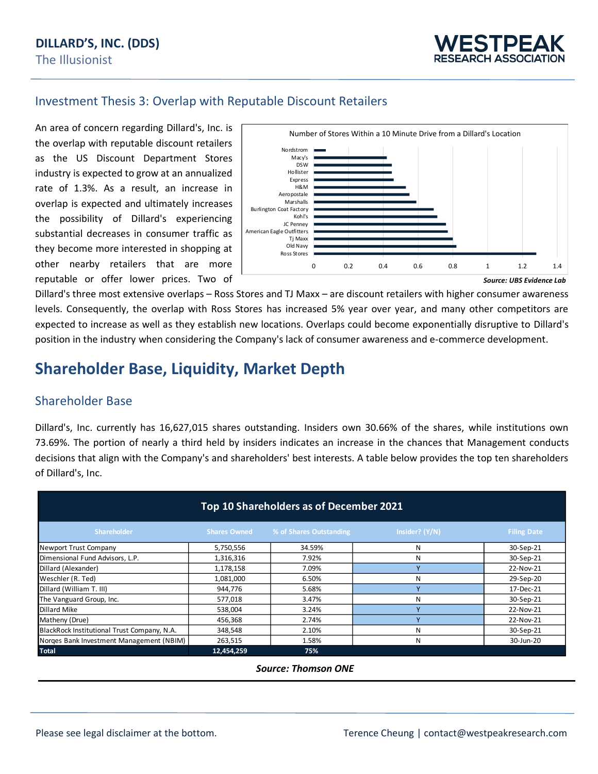### Investment Thesis 3: Overlap with Reputable Discount Retailers

An area of concern regarding Dillard's, Inc. is the overlap with reputable discount retailers as the US Discount Department Stores industry is expected to grow at an annualized rate of 1.3%. As a result, an increase in overlap is expected and ultimately increases the possibility of Dillard's experiencing substantial decreases in consumer traffic as they become more interested in shopping at other nearby retailers that are more reputable or offer lower prices. Two of



*Source: UBS Evidence Lab*

Dillard's three most extensive overlaps – Ross Stores and TJ Maxx – are discount retailers with higher consumer awareness levels. Consequently, the overlap with Ross Stores has increased 5% year over year, and many other competitors are expected to increase as well as they establish new locations. Overlaps could become exponentially disruptive to Dillard's position in the industry when considering the Company's lack of consumer awareness and e-commerce development.

## **Shareholder Base, Liquidity, Market Depth**

#### Shareholder Base

Dillard's, Inc. currently has 16,627,015 shares outstanding. Insiders own 30.66% of the shares, while institutions own 73.69%. The portion of nearly a third held by insiders indicates an increase in the chances that Management conducts decisions that align with the Company's and shareholders' best interests. A table below provides the top ten shareholders of Dillard's, Inc.

|                                             |                     | Top 10 Shareholders as of December 2021 |                |                    |
|---------------------------------------------|---------------------|-----------------------------------------|----------------|--------------------|
| Shareholder                                 | <b>Shares Owned</b> | % of Shares Outstanding                 | Insider? (Y/N) | <b>Filing Date</b> |
| Newport Trust Company                       | 5,750,556           | 34.59%                                  | N              | 30-Sep-21          |
| Dimensional Fund Advisors, L.P.             | 1,316,316           | 7.92%                                   | N              | 30-Sep-21          |
| Dillard (Alexander)                         | 1,178,158           | 7.09%                                   |                | 22-Nov-21          |
| Weschler (R. Ted)                           | 1,081,000           | 6.50%                                   | N              | 29-Sep-20          |
| Dillard (William T. III)                    | 944,776             | 5.68%                                   | $\mathbf v$    | 17-Dec-21          |
| The Vanguard Group, Inc.                    | 577,018             | 3.47%                                   | N              | 30-Sep-21          |
| Dillard Mike                                | 538,004             | 3.24%                                   |                | 22-Nov-21          |
| Matheny (Drue)                              | 456,368             | 2.74%                                   | $\overline{ }$ | 22-Nov-21          |
| BlackRock Institutional Trust Company, N.A. | 348,548             | 2.10%                                   | N              | 30-Sep-21          |
| Norges Bank Investment Management (NBIM)    | 263,515             | 1.58%                                   | N              | 30-Jun-20          |
| <b>Total</b>                                | 12,454,259          | 75%                                     |                |                    |

#### *Source: Thomson ONE*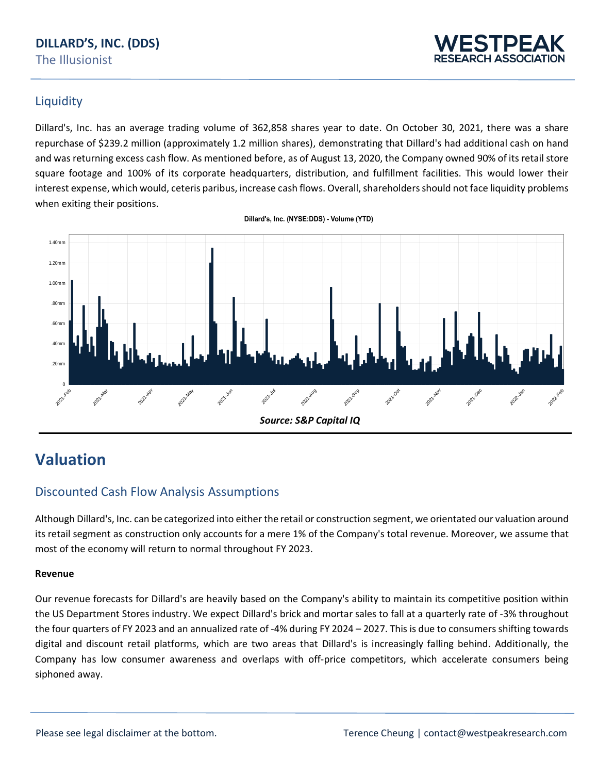### **DILLARD'S, INC. (DDS)** The Illusionist



### Liquidity

Dillard's, Inc. has an average trading volume of 362,858 shares year to date. On October 30, 2021, there was a share repurchase of \$239.2 million (approximately 1.2 million shares), demonstrating that Dillard's had additional cash on hand and was returning excess cash flow. As mentioned before, as of August 13, 2020, the Company owned 90% of its retail store square footage and 100% of its corporate headquarters, distribution, and fulfillment facilities. This would lower their interest expense, which would, ceteris paribus, increase cash flows. Overall, shareholders should not face liquidity problems when exiting their positions.



#### **Dillard's, Inc. (NYSE:DDS) - Volume (YTD)**

## **Valuation**

### Discounted Cash Flow Analysis Assumptions

Although Dillard's, Inc. can be categorized into either the retail or construction segment, we orientated our valuation around its retail segment as construction only accounts for a mere 1% of the Company's total revenue. Moreover, we assume that most of the economy will return to normal throughout FY 2023.

#### **Revenue**

Our revenue forecasts for Dillard's are heavily based on the Company's ability to maintain its competitive position within the US Department Stores industry. We expect Dillard's brick and mortar sales to fall at a quarterly rate of -3% throughout the four quarters of FY 2023 and an annualized rate of -4% during FY 2024 – 2027. This is due to consumers shifting towards digital and discount retail platforms, which are two areas that Dillard's is increasingly falling behind. Additionally, the Company has low consumer awareness and overlaps with off-price competitors, which accelerate consumers being siphoned away.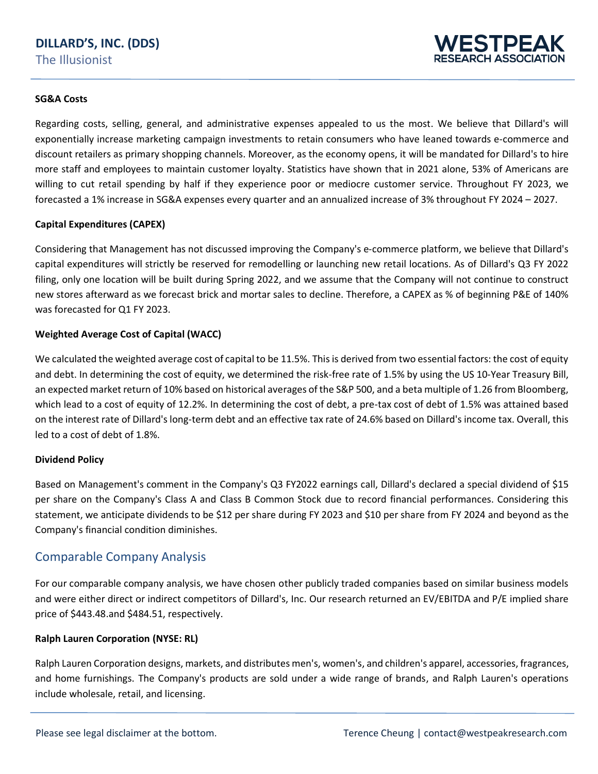

#### **SG&A Costs**

Regarding costs, selling, general, and administrative expenses appealed to us the most. We believe that Dillard's will exponentially increase marketing campaign investments to retain consumers who have leaned towards e-commerce and discount retailers as primary shopping channels. Moreover, as the economy opens, it will be mandated for Dillard's to hire more staff and employees to maintain customer loyalty. Statistics have shown that in 2021 alone, 53% of Americans are willing to cut retail spending by half if they experience poor or mediocre customer service. Throughout FY 2023, we forecasted a 1% increase in SG&A expenses every quarter and an annualized increase of 3% throughout FY 2024 – 2027.

#### **Capital Expenditures (CAPEX)**

Considering that Management has not discussed improving the Company's e-commerce platform, we believe that Dillard's capital expenditures will strictly be reserved for remodelling or launching new retail locations. As of Dillard's Q3 FY 2022 filing, only one location will be built during Spring 2022, and we assume that the Company will not continue to construct new stores afterward as we forecast brick and mortar sales to decline. Therefore, a CAPEX as % of beginning P&E of 140% was forecasted for Q1 FY 2023.

#### **Weighted Average Cost of Capital (WACC)**

We calculated the weighted average cost of capital to be 11.5%. This is derived from two essential factors: the cost of equity and debt. In determining the cost of equity, we determined the risk-free rate of 1.5% by using the US 10-Year Treasury Bill, an expected market return of 10% based on historical averages of the S&P 500, and a beta multiple of 1.26 from Bloomberg, which lead to a cost of equity of 12.2%. In determining the cost of debt, a pre-tax cost of debt of 1.5% was attained based on the interest rate of Dillard's long-term debt and an effective tax rate of 24.6% based on Dillard's income tax. Overall, this led to a cost of debt of 1.8%.

#### **Dividend Policy**

Based on Management's comment in the Company's Q3 FY2022 earnings call, Dillard's declared a special dividend of \$15 per share on the Company's Class A and Class B Common Stock due to record financial performances. Considering this statement, we anticipate dividends to be \$12 per share during FY 2023 and \$10 per share from FY 2024 and beyond as the Company's financial condition diminishes.

#### Comparable Company Analysis

For our comparable company analysis, we have chosen other publicly traded companies based on similar business models and were either direct or indirect competitors of Dillard's, Inc. Our research returned an EV/EBITDA and P/E implied share price of \$443.48.and \$484.51, respectively.

#### **Ralph Lauren Corporation (NYSE: RL)**

Ralph Lauren Corporation designs, markets, and distributes men's, women's, and children's apparel, accessories, fragrances, and home furnishings. The Company's products are sold under a wide range of brands, and Ralph Lauren's operations include wholesale, retail, and licensing.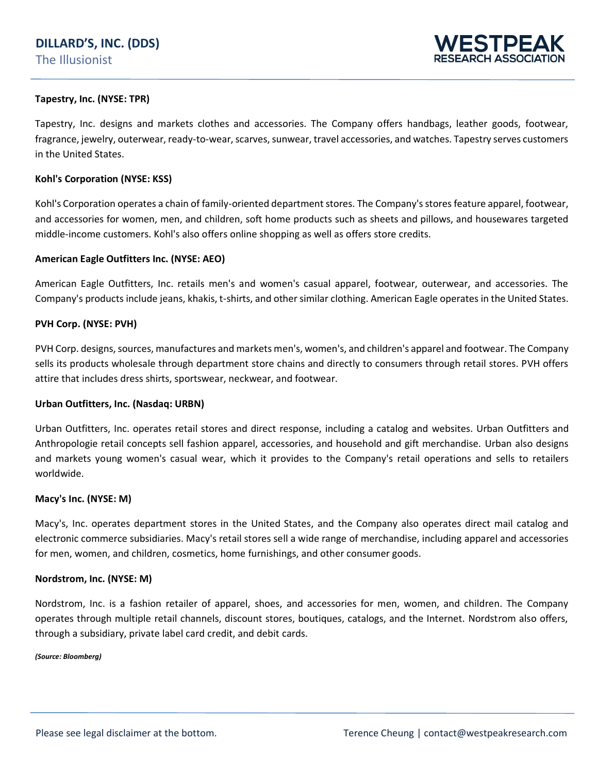

#### **Tapestry, Inc. (NYSE: TPR)**

Tapestry, Inc. designs and markets clothes and accessories. The Company offers handbags, leather goods, footwear, fragrance, jewelry, outerwear, ready-to-wear, scarves, sunwear, travel accessories, and watches. Tapestry serves customers in the United States.

#### **Kohl's Corporation (NYSE: KSS)**

Kohl's Corporation operates a chain of family-oriented department stores. The Company's stores feature apparel, footwear, and accessories for women, men, and children, soft home products such as sheets and pillows, and housewares targeted middle-income customers. Kohl's also offers online shopping as well as offers store credits.

#### **American Eagle Outfitters Inc. (NYSE: AEO)**

American Eagle Outfitters, Inc. retails men's and women's casual apparel, footwear, outerwear, and accessories. The Company's products include jeans, khakis, t-shirts, and other similar clothing. American Eagle operates in the United States.

#### **PVH Corp. (NYSE: PVH)**

PVH Corp. designs, sources, manufactures and markets men's, women's, and children's apparel and footwear. The Company sells its products wholesale through department store chains and directly to consumers through retail stores. PVH offers attire that includes dress shirts, sportswear, neckwear, and footwear.

#### **Urban Outfitters, Inc. (Nasdaq: URBN)**

Urban Outfitters, Inc. operates retail stores and direct response, including a catalog and websites. Urban Outfitters and Anthropologie retail concepts sell fashion apparel, accessories, and household and gift merchandise. Urban also designs and markets young women's casual wear, which it provides to the Company's retail operations and sells to retailers worldwide.

#### **Macy's Inc. (NYSE: M)**

Macy's, Inc. operates department stores in the United States, and the Company also operates direct mail catalog and electronic commerce subsidiaries. Macy's retail stores sell a wide range of merchandise, including apparel and accessories for men, women, and children, cosmetics, home furnishings, and other consumer goods.

#### **Nordstrom, Inc. (NYSE: M)**

Nordstrom, Inc. is a fashion retailer of apparel, shoes, and accessories for men, women, and children. The Company operates through multiple retail channels, discount stores, boutiques, catalogs, and the Internet. Nordstrom also offers, through a subsidiary, private label card credit, and debit cards.

#### *(Source: Bloomberg)*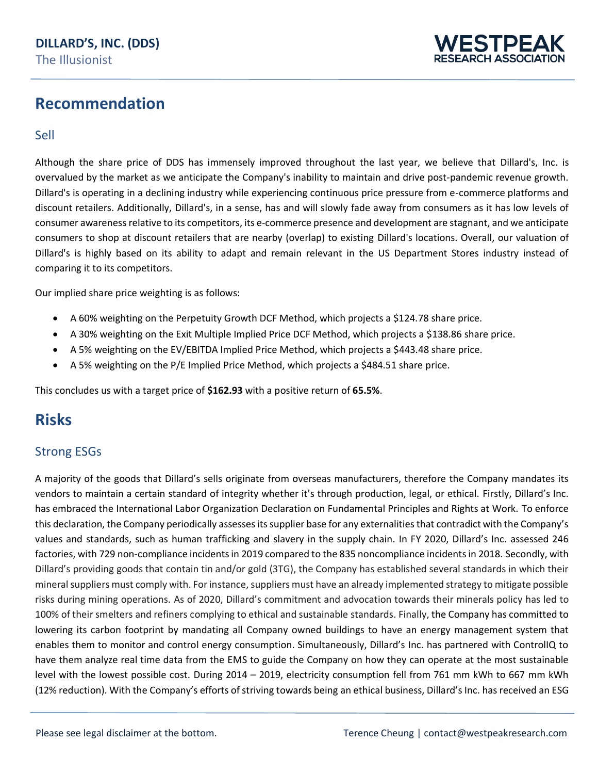

## **Recommendation**

#### Sell

Although the share price of DDS has immensely improved throughout the last year, we believe that Dillard's, Inc. is overvalued by the market as we anticipate the Company's inability to maintain and drive post-pandemic revenue growth. Dillard's is operating in a declining industry while experiencing continuous price pressure from e-commerce platforms and discount retailers. Additionally, Dillard's, in a sense, has and will slowly fade away from consumers as it has low levels of consumer awareness relative to its competitors, its e-commerce presence and development are stagnant, and we anticipate consumers to shop at discount retailers that are nearby (overlap) to existing Dillard's locations. Overall, our valuation of Dillard's is highly based on its ability to adapt and remain relevant in the US Department Stores industry instead of comparing it to its competitors.

Our implied share price weighting is as follows:

- A 60% weighting on the Perpetuity Growth DCF Method, which projects a \$124.78 share price.
- A 30% weighting on the Exit Multiple Implied Price DCF Method, which projects a \$138.86 share price.
- A 5% weighting on the EV/EBITDA Implied Price Method, which projects a \$443.48 share price.
- A 5% weighting on the P/E Implied Price Method, which projects a \$484.51 share price.

This concludes us with a target price of **\$162.93** with a positive return of **65.5%**.

## **Risks**

### Strong ESGs

A majority of the goods that Dillard's sells originate from overseas manufacturers, therefore the Company mandates its vendors to maintain a certain standard of integrity whether it's through production, legal, or ethical. Firstly, Dillard's Inc. has embraced the International Labor Organization Declaration on Fundamental Principles and Rights at Work. To enforce this declaration, the Company periodically assesses its supplier base for any externalities that contradict with the Company's values and standards, such as human trafficking and slavery in the supply chain. In FY 2020, Dillard's Inc. assessed 246 factories, with 729 non-compliance incidents in 2019 compared to the 835 noncompliance incidents in 2018. Secondly, with Dillard's providing goods that contain tin and/or gold (3TG), the Company has established several standards in which their mineral suppliers must comply with. For instance, suppliers must have an already implemented strategy to mitigate possible risks during mining operations. As of 2020, Dillard's commitment and advocation towards their minerals policy has led to 100% of their smelters and refiners complying to ethical and sustainable standards. Finally, the Company has committed to lowering its carbon footprint by mandating all Company owned buildings to have an energy management system that enables them to monitor and control energy consumption. Simultaneously, Dillard's Inc. has partnered with ControlIQ to have them analyze real time data from the EMS to guide the Company on how they can operate at the most sustainable level with the lowest possible cost. During 2014 – 2019, electricity consumption fell from 761 mm kWh to 667 mm kWh (12% reduction). With the Company's efforts of striving towards being an ethical business, Dillard's Inc. has received an ESG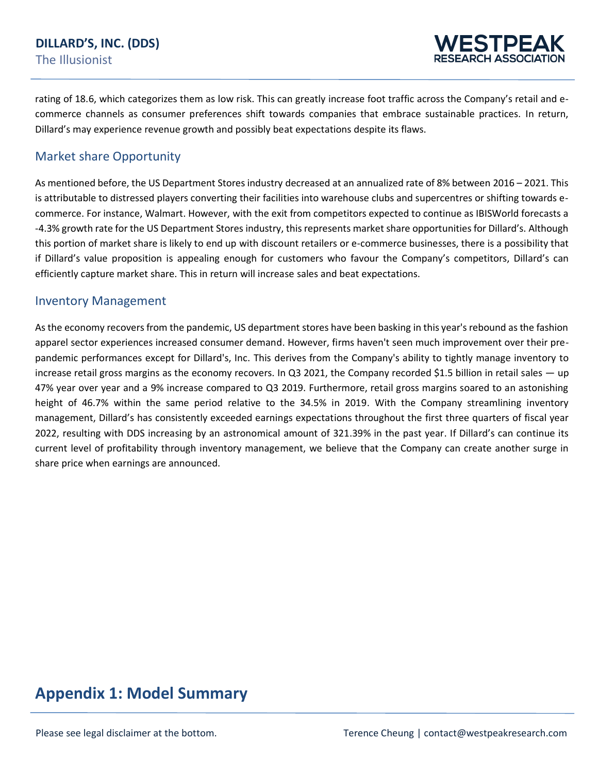rating of 18.6, which categorizes them as low risk. This can greatly increase foot traffic across the Company's retail and ecommerce channels as consumer preferences shift towards companies that embrace sustainable practices. In return, Dillard's may experience revenue growth and possibly beat expectations despite its flaws.

### Market share Opportunity

As mentioned before, the US Department Stores industry decreased at an annualized rate of 8% between 2016 – 2021. This is attributable to distressed players converting their facilities into warehouse clubs and supercentres or shifting towards ecommerce. For instance, Walmart. However, with the exit from competitors expected to continue as IBISWorld forecasts a -4.3% growth rate for the US Department Stores industry, this represents market share opportunities for Dillard's. Although this portion of market share is likely to end up with discount retailers or e-commerce businesses, there is a possibility that if Dillard's value proposition is appealing enough for customers who favour the Company's competitors, Dillard's can efficiently capture market share. This in return will increase sales and beat expectations.

### Inventory Management

As the economy recovers from the pandemic, US department stores have been basking in this year's rebound as the fashion apparel sector experiences increased consumer demand. However, firms haven't seen much improvement over their prepandemic performances except for Dillard's, Inc. This derives from the Company's ability to tightly manage inventory to increase retail gross margins as the economy recovers. In Q3 2021, the Company recorded \$1.5 billion in retail sales — up 47% year over year and a 9% increase compared to Q3 2019. Furthermore, retail gross margins soared to an astonishing height of 46.7% within the same period relative to the 34.5% in 2019. With the Company streamlining inventory management, Dillard's has consistently exceeded earnings expectations throughout the first three quarters of fiscal year 2022, resulting with DDS increasing by an astronomical amount of 321.39% in the past year. If Dillard's can continue its current level of profitability through inventory management, we believe that the Company can create another surge in share price when earnings are announced.

## **Appendix 1: Model Summary**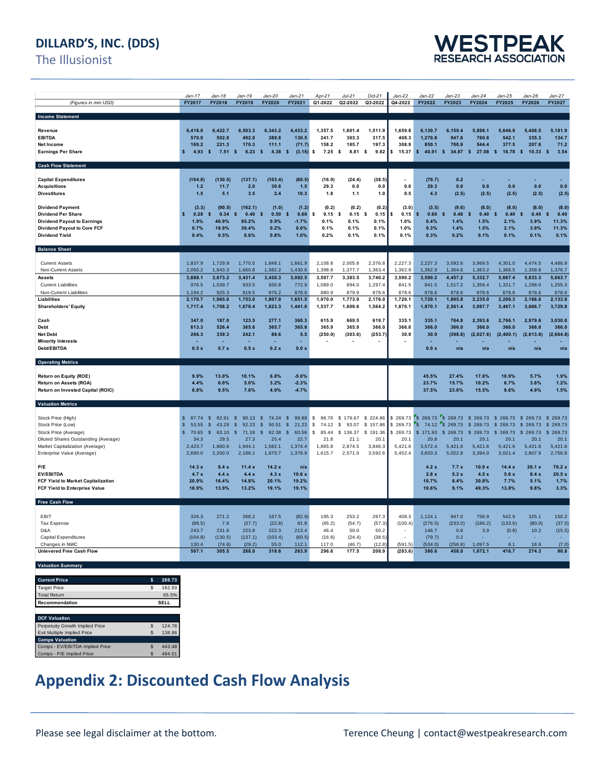### **DILLARD'S, INC. (DDS)**

The Illusionist



|                                                  | $Jan-17$                | Jan-18                    | $Jan-19$                    | Jan-20                      | $Jan-21$                | Apr-21                     | $Jul-21$     | $Oct-21$                 | Jan-22                   | Jan-22                                                                | $Jan-23$             | $Jan-24$                     | Jan-25               | Jan-26                       | Jan-27               |
|--------------------------------------------------|-------------------------|---------------------------|-----------------------------|-----------------------------|-------------------------|----------------------------|--------------|--------------------------|--------------------------|-----------------------------------------------------------------------|----------------------|------------------------------|----------------------|------------------------------|----------------------|
| (Figures in mm USD)                              | FY2017                  | FY2018                    | FY2019                      | FY2020                      | FY2021                  | Q1-2022                    | Q2-2022      | Q3-2022                  | Q4-2022                  | FY2022                                                                | FY2023               | FY2024                       | FY2025               | FY2026                       | FY2027               |
|                                                  |                         |                           |                             |                             |                         |                            |              |                          |                          |                                                                       |                      |                              |                      |                              |                      |
| <b>Income Statement</b>                          |                         |                           |                             |                             |                         |                            |              |                          |                          |                                                                       |                      |                              |                      |                              |                      |
| Revenue                                          | 6.418.0                 | 6,422.7                   | 6,503.3                     | 6,343.2                     | 4,433.2                 | 1,357.5                    | 1,601.4      | 1,511.9                  | 1,659.8                  | 6,130.7                                                               | 6.159.4              | 5,898.1                      | 5.646.9              | 5,408.5                      | 5,181.9              |
| <b>EBITDA</b>                                    | 570.0                   | 502.8                     | 492.0                       | 389.8                       | 130.5                   | 241.7                      | 303.3        | 317.5                    | 408.3                    | 1.270.8                                                               | 947.6                | 760.8                        | 542.1                | 335.3                        | 134.7                |
| <b>Net Income</b>                                | 169.2                   | 221.3                     | 170.3                       | 111.1                       | (71.7)                  | 158.2                      | 185.7        | 197.3                    | 308.9                    | 850.1                                                                 | 700.9                | 544.4                        | 377.5                | 207.6                        | 71.2                 |
| <b>Earnings Per Share</b>                        | 4.93<br>\$              | $\mathbf{s}$<br>$7.51$ \$ | 6.23                        | $\mathbf{s}$<br>4.38        | $\sqrt{2}$<br>(3.16)    | \$<br>$7.25$ \$            | $8.81$ \$    | 9.82                     | 15.37                    | $\mathbf{s}$                                                          |                      | 40.91 \$ 34.87 \$ 27.08      | $\sqrt{2}$<br>18.78  | $\sqrt{2}$<br>10.33          | $\mathbf{s}$<br>3.54 |
|                                                  |                         |                           |                             |                             |                         |                            |              |                          |                          |                                                                       |                      |                              |                      |                              |                      |
| <b>Cash Flow Statement</b>                       |                         |                           |                             |                             |                         |                            |              |                          |                          |                                                                       |                      |                              |                      |                              |                      |
|                                                  |                         |                           |                             |                             |                         |                            |              |                          |                          |                                                                       |                      |                              |                      |                              |                      |
| <b>Capital Expenditures</b>                      | (104.8)                 | (130.5)                   | (137.1)                     | (103.4)                     | (60.5)                  | (16.9)                     | (24.4)       | (38.5)                   |                          | (79.7)                                                                | 0.2                  |                              |                      |                              |                      |
| <b>Acquisitions</b>                              | 1.2                     | 11.7                      | 2.0                         | 30.6                        | $1.5$                   | 29.3                       | 0.0          | 0.0                      | 0.0                      | 29.3                                                                  | 0.0                  | 0.0                          | 0.0                  | 0.0                          | 0.0                  |
| <b>Divestitures</b>                              | 1.5                     | 5.1                       | 3.5                         | 2.4                         | 10.3                    | 1.8                        | 1.1          | 1.0                      | 0.5                      | 4.3                                                                   | (2.5)                | (2.5)                        | (2.5)                | (2.5)                        | (2.5)                |
|                                                  |                         |                           |                             |                             |                         |                            |              |                          |                          |                                                                       |                      |                              |                      |                              |                      |
| <b>Dividend Payment</b>                          | (3.3)                   | (90.5)                    | (162.1)                     | (1.0)                       | (1.2)                   | (0.2)                      | (0.2)        | (0.2)                    | (3.0)                    | (3.5)                                                                 | (9.6)                | (8.0)                        | (8.0)                | (8.0)                        | (8.0)                |
| <b>Dividend Per Share</b>                        | Ś<br>0.28               | \$<br>0.34                | 0.40<br><b>s</b>            | s<br>0.50                   | 0.60<br>s               | $\pmb{\mathsf{s}}$<br>0.15 | \$<br>0.15   | \$<br>0.15               | 0.15                     | \$<br>0.60                                                            | $\mathbf{s}$<br>0.48 | $\mathbf{s}$<br>0.40         | $\mathbf{s}$<br>0.40 | $\mathbf{s}$<br>0.40         | <b>s</b><br>0.40     |
| <b>Dividend Payout to Earnings</b>               | 1.9%                    | 40.9%                     | 95.2%                       | 0.9%                        | $-1.7%$                 | 0.1%                       | 0.1%         | 0.1%                     | 1.0%                     | 0.4%                                                                  | 1.4%                 | 1.5%                         | 2.1%                 | 3.9%                         | 11.3%                |
| Dividend Payout to Core FCF                      | 0.7%                    | 18.9%                     | 30.4%                       | 0.2%                        | 0.6%                    | 0.1%                       | 0.1%         | 0.1%                     | 1.0%                     | 0.3%                                                                  | 1.4%                 | 1.5%                         | 2.1%                 | 3.9%                         | 11.3%                |
| <b>Dividend Yield</b>                            | 0.4%                    | 0.5%                      | 0.6%                        | 0.8%                        | 1.0%                    | 0.2%                       | 0.1%         | 0.1%                     | 0.1%                     | 0.3%                                                                  | 0.2%                 | 0.1%                         | 0.1%                 | 0.1%                         | 0.1%                 |
| <b>Balance Sheet</b>                             |                         |                           |                             |                             |                         |                            |              |                          |                          |                                                                       |                      |                              |                      |                              |                      |
|                                                  |                         |                           |                             |                             |                         |                            |              |                          |                          |                                                                       |                      |                              |                      |                              |                      |
| <b>Current Assets</b>                            | 1,837.9                 | 1,729.9                   | 1,770.5                     | 1,848.1                     | 1,661.9                 | 2,108.8                    | 2,005.8      | 2,376.8                  | 2,227.3                  | 2,227.3                                                               | 3,092.6              | 3,969.5                      | 4,301.0              | 4,474.5                      | 4,486.9              |
| Non-Current Assets                               | 2,050.2                 | 1,943.3                   | 1,660.8                     | 1,582.2                     | 1,430.6                 | 1,398.8                    | 1,377.7      | 1,363.4                  | 1,362.9                  | 1,362.9                                                               | 1,364.6              | 1,363.2                      | 1,366.5              | 1,358.8                      | 1,376.7              |
| <b>Assets</b>                                    | 3,888.1                 | 3,673.2                   | 3,431.4                     | 3,430.3                     | 3,092.5                 | 3,507.7                    | 3,383.5      | 3,740.2                  | 3,590.2                  | 3,590.2                                                               | 4,457.2              | 5,332.7                      | 5,667.4              | 5,833.3                      | 5,863.7              |
| <b>Current Liabilities</b>                       | 976.5                   | 1,039.7                   | 933.5                       | 930.8                       | 772.9                   | 1,089.0                    | 894.0        | 1,297.4                  | 841.5                    | 841.5                                                                 | 1,017.2              | 1,356.4                      | 1,321.7              | 1,288.0                      | 1,255.3              |
| Non-Current Liabilities                          | 1.194.2                 | 925.3                     | 819.5                       | 876.2                       | 878.6                   | 880.9                      | 879.9        | 878.6                    | 878.6                    | 878.6                                                                 | 878.6                | 878.6                        | 878.6                | 878.6                        | 878.6                |
| Liabilities                                      | 2,170.7                 | 1,965.0                   | 1,753.0                     | 1,807.0                     | 1,651.5                 | 1,970.0                    | 1,773.9      | 2,176.0                  | 1,720.1                  | 1,720.1                                                               | 1,895.8              | 2,235.0                      | 2,200.3              | 2,166.6                      | 2,133.9              |
| <b>Shareholders' Equity</b>                      | 1,717.4                 | 1,708.2                   | 1,678.4                     | 1.623.3                     | 1,441.0                 | 1,537.7                    | 1,609.6      | 1,564.2                  | 1,870.1                  | 1,870.1                                                               | 2,561.4              | 3,097.7                      | 3,467.1              | 3,666.7                      | 3.729.8              |
|                                                  |                         |                           |                             |                             |                         |                            |              |                          |                          |                                                                       |                      |                              |                      |                              |                      |
| Cash                                             | 347.0                   | 187.0                     | 123.5                       | 277.1                       | 360.3                   | 615.9                      | 669.5        | 619.7                    | 335.1                    | 335.1                                                                 | 764.8                | 2,393.6                      | 2,766.1              | 2,979.6                      | 3,030.8              |
| <b>Debt</b>                                      | 613.3                   | 526.4                     | 365.6                       | 365.7                       | 365.8                   | 365.9                      | 365.9        | 366.0                    | 366.0                    | 366.0                                                                 | 366.0                | 366.0                        | 366.0                | 366.0                        | 366.0                |
| <b>Net Debt</b>                                  | 266.3                   | 339.3                     | 242.1                       | 88.6                        | 5.5                     | (250.0)                    | (303.6)      | (253.7)                  | 30.9                     | 30.9                                                                  | (398.8)              | (2,027.6)                    | (2,400.1)            | (2,613.6)                    | (2,664.8)            |
| <b>Minority Interests</b>                        |                         |                           |                             |                             | ٠                       |                            |              | $\overline{\phantom{a}}$ |                          |                                                                       |                      |                              |                      |                              |                      |
| Debt/EBITDA                                      | 0.5x                    | 0.7x                      | 0.5x                        | 0.2x                        | 0.0 x                   |                            |              |                          |                          | 0.0 x                                                                 | n/a                  | n/a                          | n/a                  | n/a                          | n/a                  |
|                                                  |                         |                           |                             |                             |                         |                            |              |                          |                          |                                                                       |                      |                              |                      |                              |                      |
| <b>Operating Metrics</b>                         |                         |                           |                             |                             |                         |                            |              |                          |                          |                                                                       |                      |                              |                      |                              |                      |
|                                                  | 9.9%                    | 13.0%                     |                             | 6.8%                        | $-5.0%$                 |                            |              |                          |                          | 45.5%                                                                 | 27.4%                | 17.6%                        | 10.9%                | 5.7%                         | 1.9%                 |
| Return on Equity (ROE)<br>Return on Assets (ROA) | 4.4%                    | 6.0%                      | 10.1%<br>5.0%               | 3.2%                        | $-2.3%$                 |                            |              |                          |                          | 23.7%                                                                 | 15.7%                | 10.2%                        | 6.7%                 | 3.6%                         | 1.2%                 |
| Return on Invested Capital (ROIC)                | 6.8%                    | 9.5%                      | 7.8%                        | 4.9%                        | $-4.7%$                 |                            |              |                          |                          | 37.5%                                                                 | 23.6%                | 15.5%                        | 9.6%                 | 4.9%                         | 1.5%                 |
|                                                  |                         |                           |                             |                             |                         |                            |              |                          |                          |                                                                       |                      |                              |                      |                              |                      |
| <b>Valuation Metrics</b>                         |                         |                           |                             |                             |                         |                            |              |                          |                          |                                                                       |                      |                              |                      |                              |                      |
|                                                  |                         |                           |                             |                             |                         |                            |              |                          |                          |                                                                       |                      |                              |                      |                              |                      |
| Stock Price (High)                               | \$<br>87.74             | $$^{\circ}$<br>82.91      | $\mathfrak{s}$<br>90.13     | $\sqrt{2}$<br>74.24         | \$<br>99.88             | \$<br>96.76                | \$179.67     | \$224.86                 |                          | \$ 269.73 \$ 269.73 \$ 269.73 \$ 269.73 \$ 269.73 \$ 269.73 \$ 269.73 |                      |                              |                      |                              |                      |
| Stock Price (Low)                                | $\mathbf{s}$<br>53.55   | 43.29<br>$\mathfrak{s}$   | 52.23<br>$\mathbf{\hat{s}}$ | 50.51<br>\$                 | 21.23<br>- \$           | \$<br>74.12                | 93.07<br>\$  | \$157.86                 | \$269.73                 | $\mathbf{r}_\mathbf{S}$<br>74.12                                      | \$269.73             | \$269.73                     | \$269.73             | \$269.73                     | \$269.73             |
| Stock Price (Average)                            | $\mathfrak{s}$<br>70.65 | $\mathsf{\$}$<br>63.10    | $\mathbf{\hat{s}}$<br>71.18 | $\mathbf{\hat{s}}$<br>62.38 | 60.56<br>$\mathfrak{L}$ | \$<br>85.44                | \$<br>136.37 | \$191.36                 | \$269.73                 | \$171.93                                                              | \$269.73             | $\mathbf{\hat{s}}$<br>269.73 | \$269.73             | $\mathbf{\hat{s}}$<br>269.73 | \$269.73             |
| Diluted Shares Outstanding (Average)             | 34.3                    | 29.5                      | 27.3                        | 25.4                        | 22.7                    | 21.8                       | 21.1         | 20.1                     | 20.1                     | 20.8                                                                  | 20.1                 | 20.1                         | 20.1                 | 20.1                         | 20.1                 |
| Market Capitalization (Average)                  | 2.423.7                 | 1,860.6                   | 1,944.1                     | 1,582.1                     | 1,374.4                 | 1,865.8                    | 2,874.5      | 3,846.3                  | 5,421.6                  | 3,572.4                                                               | 5,421.6              | 5,421.6                      | 5,421.6              | 5,421.6                      | 5,421.6              |
| Enterprise Value (Average)                       | 2,690.0                 | 2,200.0                   | 2,186.1                     | 1,670.7                     | 1,379.9                 | 1,615.7                    | 2,571.0      | 3,592.6                  | 5,452.4                  | 3,603.3                                                               | 5,022.8              | 3,394.0                      | 3,021.4              | 2,807.9                      | 2,756.8              |
|                                                  |                         |                           |                             |                             |                         |                            |              |                          |                          |                                                                       |                      |                              |                      |                              |                      |
| P/E                                              | 14.3x                   | 8.4x                      | 11.4x                       | 14.2x                       | n/a                     |                            |              |                          |                          | 4.2x                                                                  | 7.7x                 | 10.0x                        | 14.4x                | 26.1x                        | 76.2 x               |
| <b>EV/EBITDA</b>                                 | 4.7x                    | 4.4x                      | 4.4x                        | 4.3x                        | 10.6x                   |                            |              |                          |                          | 2.8x                                                                  | 5.3x                 | 4.5x                         | 5.6x                 | 8.4x                         | 20.5x                |
| FCF Yield to Market Capitalization               | 20.9%                   | 16.4%                     | 14.8%                       | 20.1%                       | 19.2%                   |                            |              |                          |                          | 10.7%                                                                 | 8.4%                 | 30.8%                        | 7.7%                 | 5.1%                         | 1.7%                 |
| FCF Yield to Enterprise Value                    | 18.9%                   | 13.9%                     | 13.2%                       | 19.1%                       | 19.1%                   |                            |              |                          |                          | 10.6%                                                                 | 9.1%                 | 49.3%                        | 13.8%                | 9.8%                         | 3.3%                 |
|                                                  |                         |                           |                             |                             |                         |                            |              |                          |                          |                                                                       |                      |                              |                      |                              |                      |
| <b>Free Cash Flow</b>                            |                         |                           |                             |                             |                         |                            |              |                          |                          |                                                                       |                      |                              |                      |                              |                      |
| EBIT                                             | 326.3                   | 271.2                     | 268.2                       | 167.5                       | (82.9)                  | 195.3                      | 253.2        | 267.3                    | 408.3                    | 1,124.1                                                               | 947.0                | 756.9                        | 542.9                | 325.1                        | 150.2                |
| <b>Tax Expense</b>                               | (88.5)                  | 7.8                       | (37.7)                      | (22.8)                      | 81.8                    | (45.2)                     | (54.7)       | (57.3)                   | (100.4)                  | (276.5)                                                               | (233.0)              | (186.2)                      | (133.6)              | (80.0)                       | (37.0)               |
| D&A                                              | 243.7                   | 231.6                     | 223.8                       | 222.3                       | 213.4                   | 46.4                       | 50.0         | 50.2                     | $\overline{\phantom{a}}$ | 146.7                                                                 | 0.6                  | 3.9                          | (0.8)                | 10.2                         | (15.5)               |
| Capital Expenditures                             | (104.8)                 | (130.5)                   | (137.1)                     | (103.4)                     | (60.5)                  | (16.9)                     | (24.4)       | (38.5)                   | $\sim$                   | (79.7)                                                                | 0.2                  | ÷.                           |                      | ÷                            | $\sim$               |
| Changes in NWC                                   | 130.4                   | (74.6)                    | (29.2)                      | 55.0                        | 112.1                   | 117.0                      | (46.7)       | (12.8)                   | (591.5)                  | (534.0)                                                               | (256.8)              | 1,097.5                      | 8.1                  | 18.9                         | (7.0)                |
| <b>Unlevered Free Cash Flow</b>                  | 507.1                   | 305.5                     | 288.0                       | 318.6                       | 263.9                   | 296.6                      | 177.5        | 208.9                    | (283.6)                  | 380.6                                                                 | 458.0                | 1,672.1                      | 416.7                | 274.3                        | 90.8                 |
|                                                  |                         |                           |                             |                             |                         |                            |              |                          |                          |                                                                       |                      |                              |                      |                              |                      |
|                                                  |                         |                           |                             |                             |                         |                            |              |                          |                          |                                                                       |                      |                              |                      |                              |                      |

| <b>Valuation Summary</b> |
|--------------------------|
|                          |
|                          |

| <b>Current Price</b> | 269.73 |
|----------------------|--------|
| <b>Target Price</b>  | 162.93 |
| <b>Total Return</b>  | 65.5%  |
| Recommendation       | SEL I  |
|                      |        |

| <b>DCF Valuation</b>            |   |        |
|---------------------------------|---|--------|
| Perpetuity Growth Implied Price |   | 124.78 |
| Exit Multiple Implied Price     | S | 138.86 |
| <b>Comps Valuation</b>          |   |        |
| Comps - EV/EBITDA Implied Price | S | 443.48 |
| Comps - P/E Implied Price       |   | 484.51 |

## **Appendix 2: Discounted Cash Flow Analysis**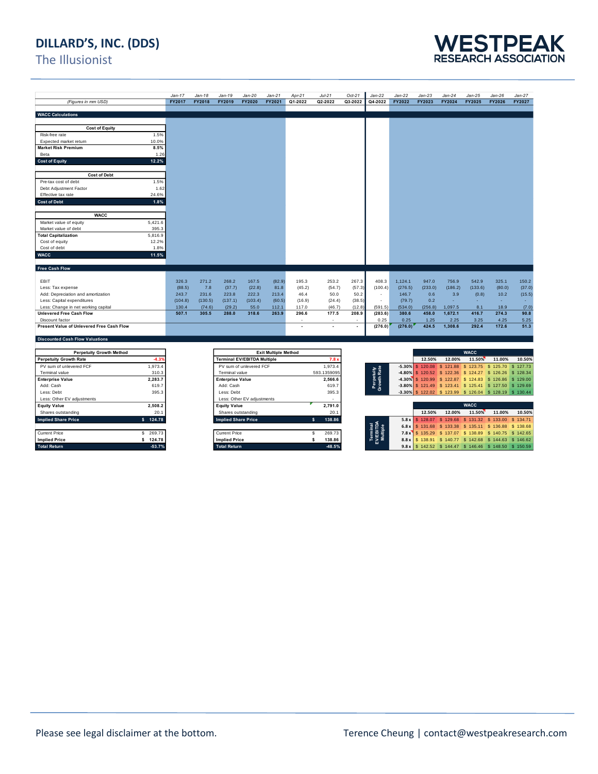### **DILLARD'S, INC. (DDS)**

### The Illusionist



|                                           |         | $Jan-17$ | $Jan-18$ | $Jan-19$                           | $Jan-20$                | $Jan-21$                    | Apr-21  | $Jul-21$         | $Oct-21$ | $Jan-22$                          | $Jan-22$ | $Jan-23$            | $Jan-24$                                                               | $Jan-25$    | $Jan-26$ | Jan-27       |
|-------------------------------------------|---------|----------|----------|------------------------------------|-------------------------|-----------------------------|---------|------------------|----------|-----------------------------------|----------|---------------------|------------------------------------------------------------------------|-------------|----------|--------------|
| (Figures in mm USD)                       |         | FY2017   | FY2018   | FY2019                             | <b>FY2020</b>           | FY2021                      | Q1-2022 | Q2-2022          | Q3-2022  | Q4-2022                           | FY2022   | FY2023              | <b>FY2024</b>                                                          | FY2025      | FY2026   | FY2027       |
|                                           |         |          |          |                                    |                         |                             |         |                  |          |                                   |          |                     |                                                                        |             |          |              |
| <b>WACC Calculations</b>                  |         |          |          |                                    |                         |                             |         |                  |          |                                   |          |                     |                                                                        |             |          |              |
|                                           |         |          |          |                                    |                         |                             |         |                  |          |                                   |          |                     |                                                                        |             |          |              |
| <b>Cost of Equity</b>                     |         |          |          |                                    |                         |                             |         |                  |          |                                   |          |                     |                                                                        |             |          |              |
| Risk-free rate                            | 1.5%    |          |          |                                    |                         |                             |         |                  |          |                                   |          |                     |                                                                        |             |          |              |
| Expected market retum                     | 10.0%   |          |          |                                    |                         |                             |         |                  |          |                                   |          |                     |                                                                        |             |          |              |
| <b>Market Risk Premium</b>                | 8.5%    |          |          |                                    |                         |                             |         |                  |          |                                   |          |                     |                                                                        |             |          |              |
| Beta                                      | 1.26    |          |          |                                    |                         |                             |         |                  |          |                                   |          |                     |                                                                        |             |          |              |
| <b>Cost of Equity</b>                     | 12.2%   |          |          |                                    |                         |                             |         |                  |          |                                   |          |                     |                                                                        |             |          |              |
|                                           |         |          |          |                                    |                         |                             |         |                  |          |                                   |          |                     |                                                                        |             |          |              |
| <b>Cost of Debt</b>                       |         |          |          |                                    |                         |                             |         |                  |          |                                   |          |                     |                                                                        |             |          |              |
| Pre-tax cost of debt                      | 1.5%    |          |          |                                    |                         |                             |         |                  |          |                                   |          |                     |                                                                        |             |          |              |
| Debt Adjustment Factor                    | 1.62    |          |          |                                    |                         |                             |         |                  |          |                                   |          |                     |                                                                        |             |          |              |
| Effective tax rate                        | 24.6%   |          |          |                                    |                         |                             |         |                  |          |                                   |          |                     |                                                                        |             |          |              |
| <b>Cost of Debt</b>                       | 1.8%    |          |          |                                    |                         |                             |         |                  |          |                                   |          |                     |                                                                        |             |          |              |
|                                           |         |          |          |                                    |                         |                             |         |                  |          |                                   |          |                     |                                                                        |             |          |              |
| <b>WACC</b>                               |         |          |          |                                    |                         |                             |         |                  |          |                                   |          |                     |                                                                        |             |          |              |
| Market value of equity                    | 5,421.6 |          |          |                                    |                         |                             |         |                  |          |                                   |          |                     |                                                                        |             |          |              |
| Market value of debt                      | 395.3   |          |          |                                    |                         |                             |         |                  |          |                                   |          |                     |                                                                        |             |          |              |
| <b>Total Capitalization</b>               | 5,816.9 |          |          |                                    |                         |                             |         |                  |          |                                   |          |                     |                                                                        |             |          |              |
| Cost of equity                            | 12.2%   |          |          |                                    |                         |                             |         |                  |          |                                   |          |                     |                                                                        |             |          |              |
| Cost of debt                              | 1.8%    |          |          |                                    |                         |                             |         |                  |          |                                   |          |                     |                                                                        |             |          |              |
| <b>WACC</b>                               | 11.5%   |          |          |                                    |                         |                             |         |                  |          |                                   |          |                     |                                                                        |             |          |              |
|                                           |         |          |          |                                    |                         |                             |         |                  |          |                                   |          |                     |                                                                        |             |          |              |
| Free Cash Flow                            |         |          |          |                                    |                         |                             |         |                  |          |                                   |          |                     |                                                                        |             |          |              |
|                                           |         |          |          |                                    |                         |                             |         |                  |          |                                   |          |                     |                                                                        |             |          |              |
| EBIT                                      |         | 326.3    | 271.2    | 268.2                              | 167.5                   | (82.9)                      | 195.3   | 253.2            | 267.3    | 408.3                             | 1.124.1  | 947.0               | 756.9                                                                  | 542.9       | 325.1    | 150.2        |
| Less: Tax expense                         |         | (88.5)   | 7.8      | (37.7)                             | (22.8)                  | 81.8                        | (45.2)  | (54.7)           | (57.3)   | (100.4)                           | (276.5)  | (233.0)             | (186.2)                                                                | (133.6)     | (80.0)   | (37.0)       |
| Add: Depreciation and amortization        |         | 243.7    | 231.6    | 223.8                              | 222.3                   | 213.4                       | 46.4    | 50.0             | 50.2     |                                   | 146.7    | 0.6                 | 3.9                                                                    | (0.8)       | 10.2     | (15.5)       |
| Less: Capital expenditures                |         | (104.8)  | (130.5)  | (137.1)                            | (103.4)                 | (60.5)                      | (16.9)  | (24.4)           | (38.5)   | ÷                                 | (79.7)   | 0.2                 | ä,                                                                     | ÷.          |          |              |
| Less: Change in net working capital       |         | 130.4    | (74.6)   | (29.2)                             | 55.0                    | 112.1                       | 117.0   | (46.7)           | (12.8)   | (591.5)                           | (534.0)  | (256.8)             | 1,097.5                                                                | 8.1         | 18.9     | (7.0)        |
| <b>Unlevered Free Cash Flow</b>           |         | 507.1    | 305.5    | 288.0                              | 318.6                   | 263.9                       | 296.6   | 177.5            | 208.9    | (283.6)                           | 380.6    | 458.0               | 1.672.1                                                                | 416.7       | 274.3    | 90.8         |
| Discount factor                           |         |          |          |                                    |                         |                             | ÷       | ٠                | $\sim$   | 0.25                              | 0.25     | 1.25                | 2.25                                                                   | 3.25        | 4.25     | 5.25         |
| Present Value of Unlevered Free Cash Flow |         |          |          |                                    |                         |                             |         | ٠                | ×.       | (276.0)                           | (276.0)  | 424.5               | 1.308.6                                                                | 292.4       | 172.6    | 51.3         |
|                                           |         |          |          |                                    |                         |                             |         |                  |          |                                   |          |                     |                                                                        |             |          |              |
| <b>Discounted Cash Flow Valuations</b>    |         |          |          |                                    |                         |                             |         |                  |          |                                   |          |                     |                                                                        |             |          |              |
|                                           |         |          |          |                                    |                         |                             |         |                  |          |                                   |          |                     |                                                                        |             |          |              |
| <b>Perpetuity Growth Method</b>           |         |          |          |                                    |                         | <b>Exit Multiple Method</b> |         |                  |          |                                   |          |                     |                                                                        | <b>WACC</b> |          |              |
| <b>Perpetuity Growth Rate</b>             | $-4.39$ |          |          | <b>Terminal EV/EBITDA Multiple</b> |                         |                             |         | 7.8 <sub>3</sub> |          |                                   |          | 12.50%              | 12.00%                                                                 | 11.50%      | 11.00%   | 10.50%       |
| PV sum of unlevered FCF                   | 1,973.4 |          |          |                                    | PV sum of unlevered FCF |                             |         | 1,973.4          |          |                                   |          | $-5.30\%$ \$ 120.08 | \$121.88 \$123.75 \$125.70                                             |             |          | \$127.73     |
| Terminal value                            | 310.3   |          |          | Terminal value                     |                         |                             |         | 593.1359095      |          | erpetuity<br><sub>owth</sub> Rate | $-4.80%$ | \$120.52            | \$122.36 \$124.27 \$126.26                                             |             |          | S.<br>128.34 |
| <b>Enterprise Value</b>                   | 2,283.7 |          |          | <b>Enterprise Value</b>            |                         |                             |         | 2,566.6          |          |                                   |          |                     | 4.30% \$120.99 \$122.87 \$124.83 \$126.86 \$129.00<br>ومستمر والمستنقر |             |          |              |

| PV sum of unlevered FCF    |   | 1.973.       |
|----------------------------|---|--------------|
| Terminal value             |   | 310.3        |
| <b>Enterprise Value</b>    |   | 2.283.       |
| Add: Cash                  |   | 619.         |
| Less: Debt                 |   | 395.         |
| Less: Other EV adjustments |   |              |
| <b>Equity Value</b>        |   | 2.508.       |
| Shares outstanding         |   | 20.1         |
| <b>Implied Share Price</b> |   | 124.7        |
|                            |   |              |
| <b>Current Price</b>       | s | 269.7        |
| <b>Implied Price</b>       |   | 124.7        |
| Total Datum                |   | <b>EQ 71</b> |

| <b>Perpetuity Growth Method</b> |           | <b>Exit Multiple Method</b>        |             |                                                                                                                                                                                                                                                                                                                                                           |                                                           |        | <b>WACC</b> |        |          |
|---------------------------------|-----------|------------------------------------|-------------|-----------------------------------------------------------------------------------------------------------------------------------------------------------------------------------------------------------------------------------------------------------------------------------------------------------------------------------------------------------|-----------------------------------------------------------|--------|-------------|--------|----------|
| <b>Perpetuity Growth Rate</b>   | 4.3%      | <b>Terminal EV/EBITDA Multiple</b> | 7.8x        |                                                                                                                                                                                                                                                                                                                                                           | 12.50%                                                    | 12.00% | 11.50%      | 11.00% |          |
| PV sum of unlevered FCF         | 1.973.4   | PV sum of unlevered FCF            | 1.973.4     |                                                                                                                                                                                                                                                                                                                                                           | -5.30% \$ 120.08 \$ 121.88 \$ 123.75 \$ 125.70            |        |             |        | \$127.73 |
| Terminal value                  | 310.3     | Terminal value                     | 593.1359095 | tuity<br>Rate                                                                                                                                                                                                                                                                                                                                             | -4.80% \$ 120.52 \$ 122.36 \$ 124.27 \$ 126.26 \$ 128.34  |        |             |        |          |
| <b>Enterprise Value</b>         | 2.283.7   | <b>Enterprise Value</b>            | 2.566.6     | Perpet<br>Growth                                                                                                                                                                                                                                                                                                                                          | 4.30% \$ 120.99 \$ 122.87 \$ 124.83 \$ 126.86 \$ 129.00   |        |             |        |          |
| Add: Cash                       | 619.7     | Add: Cash                          | 619.7       |                                                                                                                                                                                                                                                                                                                                                           | -3.80% \$ 121.49 \$ 123.41 \$ 125.41 \$ 127.50 \$ 129.69  |        |             |        |          |
| Less: Debt                      | 395.3     | Less: Debt                         | 395.3       |                                                                                                                                                                                                                                                                                                                                                           | -3.30% \$ 122.02 \$ 123.99 \$ 126.04 \$ 128.19 \$ 130.44  |        |             |        |          |
| Less: Other EV adjustments      |           | Less: Other EV adiustments         |             |                                                                                                                                                                                                                                                                                                                                                           |                                                           |        |             |        |          |
| <b>Equity Value</b>             | 2.508.2   | <b>Equity Value</b>                | 2,791.0     |                                                                                                                                                                                                                                                                                                                                                           |                                                           |        | <b>WACC</b> |        |          |
| Shares outstanding              | 20.1      | Shares outstanding                 | 20.5        |                                                                                                                                                                                                                                                                                                                                                           | 12.50%                                                    | 12.00% | 11.50%      | 11.00% |          |
| <b>Implied Share Price</b>      | \$ 124.78 | <b>Implied Share Price</b>         | 138.86<br>s |                                                                                                                                                                                                                                                                                                                                                           | 5.8 x \$ 128.07 \$ 129.68 \$ 131.32 \$ 133.00             |        |             |        | \$134.71 |
|                                 |           |                                    |             | $\frac{1}{2}$ $\frac{1}{2}$ $\frac{1}{2}$ $\frac{1}{2}$ $\frac{1}{2}$ $\frac{1}{2}$ $\frac{1}{2}$ $\frac{1}{2}$ $\frac{1}{2}$ $\frac{1}{2}$ $\frac{1}{2}$ $\frac{1}{2}$ $\frac{1}{2}$ $\frac{1}{2}$ $\frac{1}{2}$ $\frac{1}{2}$ $\frac{1}{2}$ $\frac{1}{2}$ $\frac{1}{2}$ $\frac{1}{2}$ $\frac{1}{2}$ $\frac{1}{2}$ $\frac{1}{2}$ $\frac{1}{2}$ $\frac{1$ | 6.8 x S 131.68 \$ 133.38 \$ 135.11 \$ 136.88 \$ 138.68    |        |             |        |          |
| Current Price                   | 269.73    | Current Price                      | 269.73      | Temi<br>Vien<br>Multi                                                                                                                                                                                                                                                                                                                                     | 7.8 x \ \$ 135.29 \$ 137.07 \$ 138.89 \$ 140.75 \$ 142.65 |        |             |        |          |
| <b>Implied Price</b>            | \$ 124.78 | <b>Implied Price</b>               | 138.86      |                                                                                                                                                                                                                                                                                                                                                           | 8.8 x   \$ 138.91 \$ 140.77 \$ 142.68 \$ 144.63 \$ 146.62 |        |             |        |          |
| <b>Total Return</b>             | $-53.7%$  | <b>Total Return</b>                | -48.5%      |                                                                                                                                                                                                                                                                                                                                                           | 9.8 x S 142.52 \$ 144.47 \$ 146.46 \$ 148.50 \$ 150.59    |        |             |        |          |

| <b>FULLOUITA QUARTER INCLINA</b> |           | <b>EAR MURDE MERIOU</b>            |             |                          |                                                           |        | VATU   |        |        |
|----------------------------------|-----------|------------------------------------|-------------|--------------------------|-----------------------------------------------------------|--------|--------|--------|--------|
| <b>Perpetuity Growth Rate</b>    | 4.3%      | <b>Terminal EV/EBITDA Multiple</b> | 7.8x        |                          | 12.50%                                                    | 12.00% | 11.50% | 11.00% | 10.50% |
| PV sum of unlevered FCF          | .973.4    | PV sum of unlevered FCF            | 1.973.4     |                          | -5.30% \$120.08 \$121.88 \$123.75 \$125.70 \$127.73       |        |        |        |        |
| Terminal value                   | 310.3     | Terminal value                     | 593.1359095 | tuity<br>Rate            | 4.80% \$120.52 \$122.36 \$124.27 \$126.26 \$128.34        |        |        |        |        |
| <b>Enterprise Value</b>          | 2.283.7   | <b>Enterprise Value</b>            | 2.566.6     | e g                      | 4.30% \$120.99 \$122.87 \$124.83 \$126.86 \$129.00        |        |        |        |        |
| Add: Cash                        | 619.7     | Add: Cash                          | 619.7       | ួខ៍                      | -3.80% \$121.49 \$123.41 \$125.41 \$127.50 \$129.69       |        |        |        |        |
| Less: Debt                       | 395.3     | Less: Debt                         | 395.3       |                          | -3.30% \$ 122.02 \$ 123.99 \$ 126.04 \$ 128.19 \$ 130.44  |        |        |        |        |
| Less: Other EV adjustments       |           | Less: Other EV adiustments         | -           |                          |                                                           |        |        |        |        |
| <b>Equity Value</b>              | 2.508.2   | <b>Equity Value</b>                | 2.791.0     |                          | <b>WACC</b>                                               |        |        |        |        |
| Shares outstanding               | 20.1      | Shares outstanding                 | 20.7        |                          | 12.50%                                                    | 12.00% | 11.50% | 11.00% | 10.50% |
| <b>Implied Share Price</b>       | \$ 124.78 | <b>Implied Share Price</b>         | 138.86      |                          | 5.8 x \$ 128.07 \$ 129.68 \$ 131.32 \$ 133.00 \$ 134.71   |        |        |        |        |
|                                  |           |                                    |             | nai<br>En el             | 6.8 x   \$ 131.68 \$ 133.38 \$ 135.11 \$ 136.88 \$ 138.68 |        |        |        |        |
| Current Price                    | 269.73    | <b>Current Price</b>               | 269.73      | Termi<br>V/EBI<br>Multip | 7.8 x \ \$ 135.29 \$ 137.07 \$ 138.89 \$ 140.75 \$ 142.65 |        |        |        |        |
| <b>Implied Price</b>             | 124.78    | <b>Implied Price</b>               | 138.86      |                          | 8.8 x   \$ 138.91 \$ 140.77 \$ 142.68 \$ 144.63 \$ 146.62 |        |        |        |        |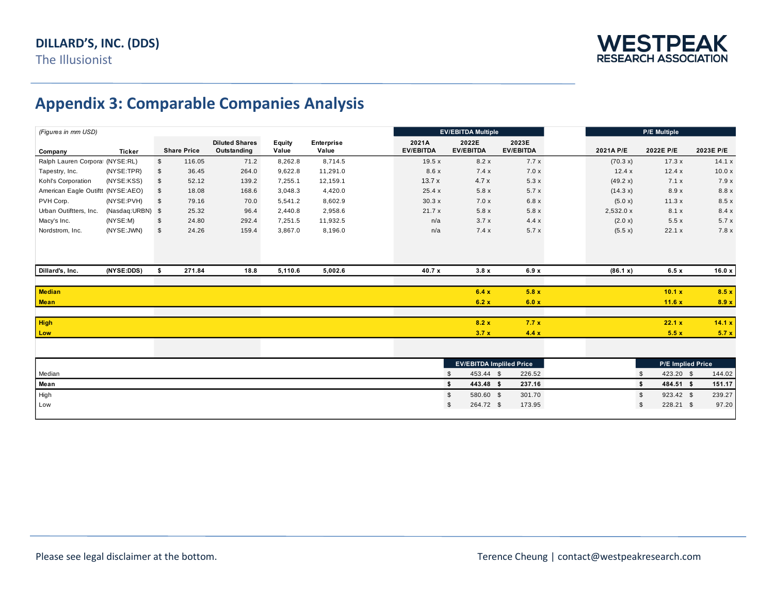

## **Appendix 3: Comparable Companies Analysis**

| (Figures in mm USD)               |                  |              |                    |                                      |                        |                     | <b>EV/EBITDA Multiple</b>       |                             |                           |                   | <b>P/E Multiple</b>        |           |  |  |
|-----------------------------------|------------------|--------------|--------------------|--------------------------------------|------------------------|---------------------|---------------------------------|-----------------------------|---------------------------|-------------------|----------------------------|-----------|--|--|
| Company                           | <b>Ticker</b>    |              | <b>Share Price</b> | <b>Diluted Shares</b><br>Outstanding | <b>Equity</b><br>Value | Enterprise<br>Value | 2021A<br><b>EV/EBITDA</b>       | 2022E<br><b>EV/EBITDA</b>   | 2023E<br><b>EV/EBITDA</b> | 2021A P/E         | 2022E P/E                  | 2023E P/E |  |  |
| Ralph Lauren Corporat (NYSE:RL)   |                  | $\mathbb{S}$ | 116.05             | 71.2                                 | 8,262.8                | 8,714.5             | 19.5x                           | 8.2x                        | 7.7x                      | (70.3 x)          | 17.3x                      | 14.1 x    |  |  |
| Tapestry, Inc.                    | (NYSE:TPR)       | \$           | 36.45              | 264.0                                | 9,622.8                | 11,291.0            | 8.6 x                           | 7.4x                        | 7.0 x                     | 12.4x             | 12.4x                      | 10.0 x    |  |  |
| Kohl's Corporation                | (NYSE:KSS)       | \$           | 52.12              | 139.2                                | 7,255.1                | 12,159.1            | 13.7x                           | 4.7x                        | 5.3x                      | (49.2 x)          | 7.1x                       | 7.9x      |  |  |
| American Eagle Outiftt (NYSE:AEO) |                  | \$           | 18.08              | 168.6                                | 3,048.3                | 4,420.0             | 25.4 x                          | 5.8x                        | 5.7x                      | (14.3 x)          | 8.9x                       | 8.8 x     |  |  |
| PVH Corp.                         | (NYSE:PVH)       | \$           | 79.16              | 70.0                                 | 5,541.2                | 8,602.9             | 30.3x                           | 7.0x                        | 6.8 x                     | (5.0 x)           | 11.3x                      | 8.5x      |  |  |
| Urban Outiftters, Inc.            | (Nasdaq:URBN) \$ |              | 25.32              | 96.4                                 | 2,440.8                | 2,958.6             | 21.7x                           | 5.8x                        | 5.8x                      | 2,532.0 x         | 8.1 x                      | 8.4x      |  |  |
| Macy's Inc.                       | (NYSE:M)         | \$           | 24.80              | 292.4                                | 7,251.5                | 11,932.5            | n/a                             | 3.7x                        | 4.4x                      | (2.0 x)           | 5.5x                       | 5.7x      |  |  |
| Nordstrom, Inc.                   | (NYSE: JWN)      | \$           | 24.26              | 159.4                                | 3,867.0                | 8,196.0             | n/a                             | 7.4x                        | 5.7x                      | (5.5 x)           | 22.1 x                     | 7.8 x     |  |  |
|                                   |                  |              |                    |                                      |                        |                     |                                 |                             |                           |                   |                            |           |  |  |
| Dillard's, Inc.                   | (NYSE:DDS)       | \$           | 271.84             | 18.8                                 | 5,110.6                | 5,002.6             | 40.7 x                          | 3.8x                        | 6.9x                      | (86.1 x)          | 6.5x                       | 16.0 x    |  |  |
|                                   |                  |              |                    |                                      |                        |                     |                                 |                             |                           |                   |                            |           |  |  |
| <b>Median</b>                     |                  |              |                    |                                      |                        |                     |                                 | 6.4x                        | 5.8x                      |                   | 10.1 x                     | 8.5x      |  |  |
| <b>Mean</b>                       |                  |              |                    |                                      |                        |                     |                                 | 6.2 x                       | 6.0 x                     |                   | 11.6x                      | 8.9 x     |  |  |
|                                   |                  |              |                    |                                      |                        |                     |                                 |                             |                           |                   |                            |           |  |  |
| <b>High</b>                       |                  |              |                    |                                      |                        |                     |                                 | 8.2 x                       | 7.7x                      |                   | 22.1 x                     | 14.1 x    |  |  |
| Low                               |                  |              |                    |                                      |                        |                     |                                 | 3.7 x                       | 4.4x                      |                   | 5.5x                       | 5.7x      |  |  |
|                                   |                  |              |                    |                                      |                        |                     |                                 |                             |                           |                   |                            |           |  |  |
|                                   |                  |              |                    |                                      |                        |                     | <b>EV/EBITDA Impliled Price</b> |                             |                           | P/E Implied Price |                            |           |  |  |
| Median                            |                  |              |                    |                                      |                        |                     |                                 | 453.44 \$<br>$\mathfrak{L}$ | 226.52                    |                   | 423.20 \$<br>\$            | 144.02    |  |  |
| Mean                              |                  |              |                    |                                      |                        |                     |                                 | \$<br>443.48 \$             | 237.16                    |                   | \$<br>484.51 \$            | 151.17    |  |  |
| High                              |                  |              |                    |                                      |                        |                     |                                 | \$<br>580.60 \$             | 301.70                    |                   | $\mathfrak s$<br>923.42 \$ | 239.27    |  |  |
| Low                               |                  |              |                    |                                      |                        |                     |                                 | \$<br>264.72 \$             | 173.95                    |                   | \$<br>228.21 \$            | 97.20     |  |  |
|                                   |                  |              |                    |                                      |                        |                     |                                 |                             |                           |                   |                            |           |  |  |